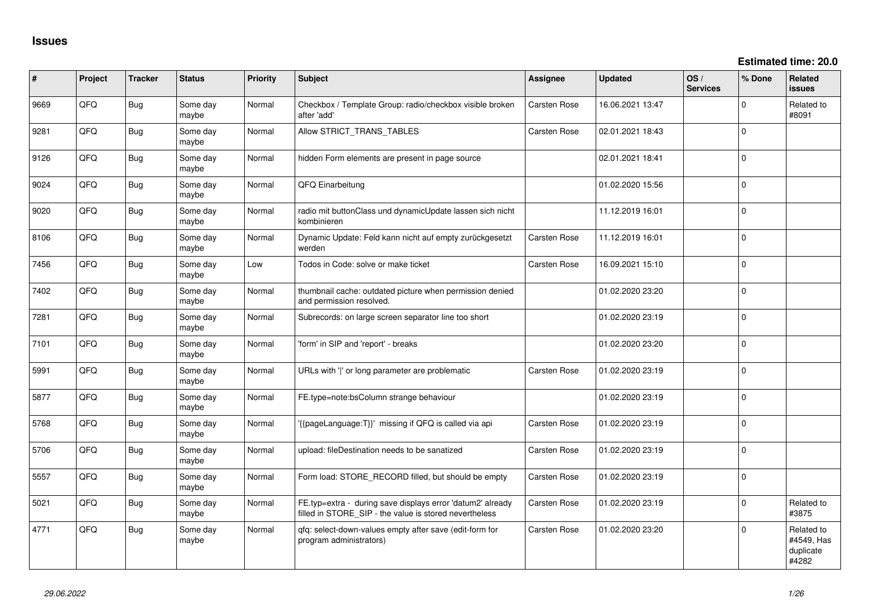| #    | Project | <b>Tracker</b> | <b>Status</b>     | <b>Priority</b> | <b>Subject</b>                                                                                                       | Assignee            | <b>Updated</b>   | OS/<br><b>Services</b> | % Done         | Related<br><b>issues</b>                       |
|------|---------|----------------|-------------------|-----------------|----------------------------------------------------------------------------------------------------------------------|---------------------|------------------|------------------------|----------------|------------------------------------------------|
| 9669 | QFQ     | <b>Bug</b>     | Some day<br>maybe | Normal          | Checkbox / Template Group: radio/checkbox visible broken<br>after 'add'                                              | <b>Carsten Rose</b> | 16.06.2021 13:47 |                        | $\Omega$       | Related to<br>#8091                            |
| 9281 | QFQ     | Bug            | Some day<br>maybe | Normal          | Allow STRICT_TRANS_TABLES                                                                                            | Carsten Rose        | 02.01.2021 18:43 |                        | $\Omega$       |                                                |
| 9126 | QFQ     | <b>Bug</b>     | Some day<br>maybe | Normal          | hidden Form elements are present in page source                                                                      |                     | 02.01.2021 18:41 |                        | $\mathbf 0$    |                                                |
| 9024 | QFQ     | Bug            | Some day<br>maybe | Normal          | QFQ Einarbeitung                                                                                                     |                     | 01.02.2020 15:56 |                        | $\Omega$       |                                                |
| 9020 | QFQ     | Bug            | Some day<br>maybe | Normal          | radio mit buttonClass und dynamicUpdate lassen sich nicht<br>kombinieren                                             |                     | 11.12.2019 16:01 |                        | $\mathbf 0$    |                                                |
| 8106 | QFQ     | <b>Bug</b>     | Some day<br>maybe | Normal          | Dynamic Update: Feld kann nicht auf empty zurückgesetzt<br>werden                                                    | Carsten Rose        | 11.12.2019 16:01 |                        | $\Omega$       |                                                |
| 7456 | QFQ     | <b>Bug</b>     | Some day<br>maybe | Low             | Todos in Code: solve or make ticket                                                                                  | Carsten Rose        | 16.09.2021 15:10 |                        | $\Omega$       |                                                |
| 7402 | QFQ     | <b>Bug</b>     | Some day<br>maybe | Normal          | thumbnail cache: outdated picture when permission denied<br>and permission resolved.                                 |                     | 01.02.2020 23:20 |                        | $\mathbf 0$    |                                                |
| 7281 | QFQ     | Bug            | Some day<br>maybe | Normal          | Subrecords: on large screen separator line too short                                                                 |                     | 01.02.2020 23:19 |                        | $\Omega$       |                                                |
| 7101 | QFQ     | <b>Bug</b>     | Some day<br>maybe | Normal          | 'form' in SIP and 'report' - breaks                                                                                  |                     | 01.02.2020 23:20 |                        | $\mathbf 0$    |                                                |
| 5991 | QFQ     | <b>Bug</b>     | Some day<br>maybe | Normal          | URLs with 'I' or long parameter are problematic                                                                      | Carsten Rose        | 01.02.2020 23:19 |                        | $\mathbf 0$    |                                                |
| 5877 | QFQ     | Bug            | Some day<br>maybe | Normal          | FE.type=note:bsColumn strange behaviour                                                                              |                     | 01.02.2020 23:19 |                        | $\Omega$       |                                                |
| 5768 | QFQ     | Bug            | Some day<br>maybe | Normal          | {{pageLanguage:T}}' missing if QFQ is called via api                                                                 | Carsten Rose        | 01.02.2020 23:19 |                        | $\overline{0}$ |                                                |
| 5706 | QFQ     | <b>Bug</b>     | Some day<br>maybe | Normal          | upload: fileDestination needs to be sanatized                                                                        | Carsten Rose        | 01.02.2020 23:19 |                        | $\Omega$       |                                                |
| 5557 | QFQ     | Bug            | Some day<br>maybe | Normal          | Form load: STORE_RECORD filled, but should be empty                                                                  | Carsten Rose        | 01.02.2020 23:19 |                        | $\Omega$       |                                                |
| 5021 | QFQ     | Bug            | Some day<br>maybe | Normal          | FE.typ=extra - during save displays error 'datum2' already<br>filled in STORE_SIP - the value is stored nevertheless | Carsten Rose        | 01.02.2020 23:19 |                        | 0              | Related to<br>#3875                            |
| 4771 | QFQ     | Bug            | Some day<br>maybe | Normal          | gfg: select-down-values empty after save (edit-form for<br>program administrators)                                   | Carsten Rose        | 01.02.2020 23:20 |                        | $\Omega$       | Related to<br>#4549, Has<br>duplicate<br>#4282 |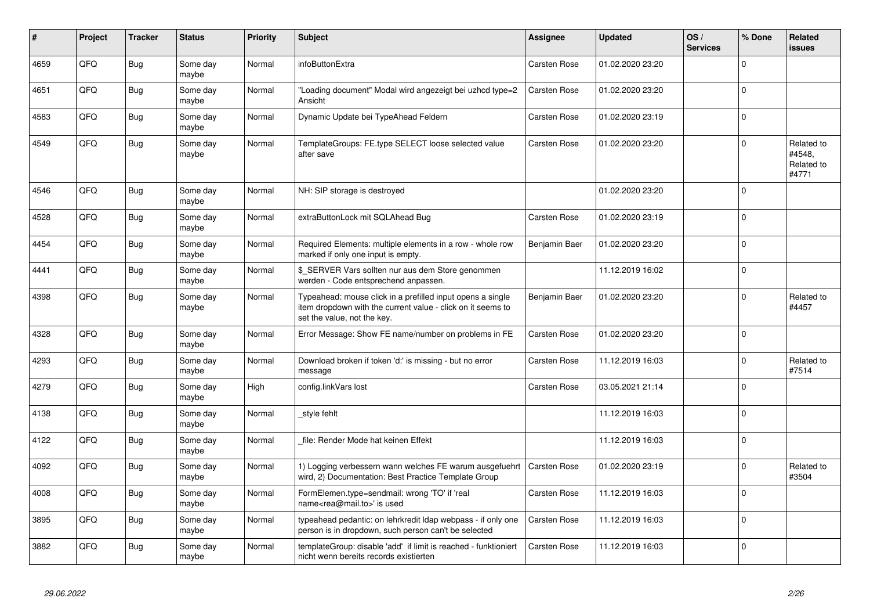| #    | Project | <b>Tracker</b> | <b>Status</b>     | <b>Priority</b> | <b>Subject</b>                                                                                                                                           | Assignee            | <b>Updated</b>   | OS/<br><b>Services</b> | % Done       | <b>Related</b><br><b>issues</b>             |
|------|---------|----------------|-------------------|-----------------|----------------------------------------------------------------------------------------------------------------------------------------------------------|---------------------|------------------|------------------------|--------------|---------------------------------------------|
| 4659 | QFQ     | <b>Bug</b>     | Some day<br>maybe | Normal          | infoButtonExtra                                                                                                                                          | <b>Carsten Rose</b> | 01.02.2020 23:20 |                        | $\Omega$     |                                             |
| 4651 | QFQ     | <b>Bug</b>     | Some day<br>maybe | Normal          | "Loading document" Modal wird angezeigt bei uzhcd type=2<br>Ansicht                                                                                      | <b>Carsten Rose</b> | 01.02.2020 23:20 |                        | $\Omega$     |                                             |
| 4583 | QFQ     | <b>Bug</b>     | Some day<br>maybe | Normal          | Dynamic Update bei TypeAhead Feldern                                                                                                                     | Carsten Rose        | 01.02.2020 23:19 |                        | $\Omega$     |                                             |
| 4549 | QFQ     | <b>Bug</b>     | Some day<br>maybe | Normal          | TemplateGroups: FE.type SELECT loose selected value<br>after save                                                                                        | <b>Carsten Rose</b> | 01.02.2020 23:20 |                        | <sup>0</sup> | Related to<br>#4548,<br>Related to<br>#4771 |
| 4546 | QFQ     | Bug            | Some day<br>maybe | Normal          | NH: SIP storage is destroyed                                                                                                                             |                     | 01.02.2020 23:20 |                        | $\Omega$     |                                             |
| 4528 | QFQ     | <b>Bug</b>     | Some day<br>maybe | Normal          | extraButtonLock mit SQLAhead Bug                                                                                                                         | Carsten Rose        | 01.02.2020 23:19 |                        | 0            |                                             |
| 4454 | QFQ     | Bug            | Some day<br>maybe | Normal          | Required Elements: multiple elements in a row - whole row<br>marked if only one input is empty.                                                          | Benjamin Baer       | 01.02.2020 23:20 |                        | $\Omega$     |                                             |
| 4441 | QFQ     | Bug            | Some day<br>maybe | Normal          | \$ SERVER Vars sollten nur aus dem Store genommen<br>werden - Code entsprechend anpassen.                                                                |                     | 11.12.2019 16:02 |                        | $\Omega$     |                                             |
| 4398 | QFQ     | <b>Bug</b>     | Some day<br>maybe | Normal          | Typeahead: mouse click in a prefilled input opens a single<br>item dropdown with the current value - click on it seems to<br>set the value, not the key. | Benjamin Baer       | 01.02.2020 23:20 |                        | $\Omega$     | Related to<br>#4457                         |
| 4328 | QFQ     | <b>Bug</b>     | Some day<br>maybe | Normal          | Error Message: Show FE name/number on problems in FE                                                                                                     | Carsten Rose        | 01.02.2020 23:20 |                        | $\Omega$     |                                             |
| 4293 | QFQ     | Bug            | Some day<br>maybe | Normal          | Download broken if token 'd:' is missing - but no error<br>message                                                                                       | Carsten Rose        | 11.12.2019 16:03 |                        | $\Omega$     | Related to<br>#7514                         |
| 4279 | QFQ     | <b>Bug</b>     | Some day<br>maybe | High            | config.linkVars lost                                                                                                                                     | Carsten Rose        | 03.05.2021 21:14 |                        | $\Omega$     |                                             |
| 4138 | QFQ     | <b>Bug</b>     | Some day<br>maybe | Normal          | style fehlt                                                                                                                                              |                     | 11.12.2019 16:03 |                        | $\Omega$     |                                             |
| 4122 | QFQ     | <b>Bug</b>     | Some day<br>maybe | Normal          | file: Render Mode hat keinen Effekt                                                                                                                      |                     | 11.12.2019 16:03 |                        | $\Omega$     |                                             |
| 4092 | QFQ     | <b>Bug</b>     | Some day<br>maybe | Normal          | 1) Logging verbessern wann welches FE warum ausgefuehrt<br>wird, 2) Documentation: Best Practice Template Group                                          | <b>Carsten Rose</b> | 01.02.2020 23:19 |                        | $\Omega$     | Related to<br>#3504                         |
| 4008 | QFQ     | <b>Bug</b>     | Some day<br>maybe | Normal          | FormElemen.type=sendmail: wrong 'TO' if 'real<br>name <rea@mail.to>' is used</rea@mail.to>                                                               | Carsten Rose        | 11.12.2019 16:03 |                        | $\Omega$     |                                             |
| 3895 | QFQ     | Bug            | Some day<br>maybe | Normal          | typeahead pedantic: on lehrkredit Idap webpass - if only one<br>person is in dropdown, such person can't be selected                                     | <b>Carsten Rose</b> | 11.12.2019 16:03 |                        | $\mathbf 0$  |                                             |
| 3882 | QFQ     | <b>Bug</b>     | Some day<br>maybe | Normal          | templateGroup: disable 'add' if limit is reached - funktioniert<br>nicht wenn bereits records existierten                                                | Carsten Rose        | 11.12.2019 16:03 |                        | $\Omega$     |                                             |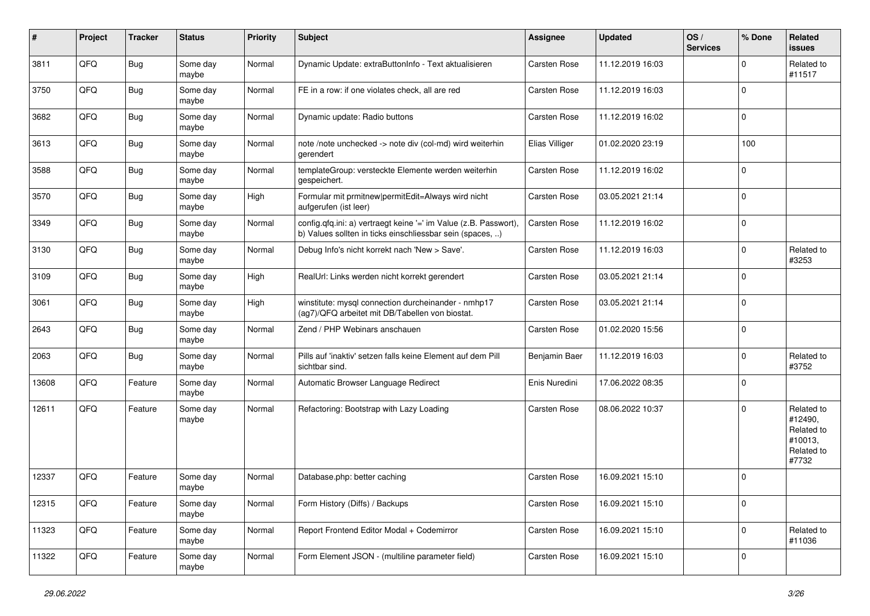| ∦     | Project | <b>Tracker</b> | <b>Status</b>     | <b>Priority</b> | <b>Subject</b>                                                                                                                | <b>Assignee</b>     | <b>Updated</b>   | OS/<br><b>Services</b> | % Done      | Related<br>issues                                                     |
|-------|---------|----------------|-------------------|-----------------|-------------------------------------------------------------------------------------------------------------------------------|---------------------|------------------|------------------------|-------------|-----------------------------------------------------------------------|
| 3811  | QFQ     | <b>Bug</b>     | Some day<br>maybe | Normal          | Dynamic Update: extraButtonInfo - Text aktualisieren                                                                          | <b>Carsten Rose</b> | 11.12.2019 16:03 |                        | $\Omega$    | Related to<br>#11517                                                  |
| 3750  | QFQ     | Bug            | Some day<br>maybe | Normal          | FE in a row: if one violates check, all are red                                                                               | <b>Carsten Rose</b> | 11.12.2019 16:03 |                        | $\Omega$    |                                                                       |
| 3682  | QFQ     | Bug            | Some day<br>maybe | Normal          | Dynamic update: Radio buttons                                                                                                 | Carsten Rose        | 11.12.2019 16:02 |                        | $\Omega$    |                                                                       |
| 3613  | QFQ     | Bug            | Some day<br>maybe | Normal          | note /note unchecked -> note div (col-md) wird weiterhin<br>gerendert                                                         | Elias Villiger      | 01.02.2020 23:19 |                        | 100         |                                                                       |
| 3588  | QFQ     | <b>Bug</b>     | Some day<br>maybe | Normal          | templateGroup: versteckte Elemente werden weiterhin<br>gespeichert.                                                           | Carsten Rose        | 11.12.2019 16:02 |                        | $\Omega$    |                                                                       |
| 3570  | QFQ     | <b>Bug</b>     | Some day<br>maybe | High            | Formular mit prmitnew permitEdit=Always wird nicht<br>aufgerufen (ist leer)                                                   | Carsten Rose        | 03.05.2021 21:14 |                        | $\Omega$    |                                                                       |
| 3349  | QFQ     | Bug            | Some day<br>maybe | Normal          | config.qfq.ini: a) vertraegt keine '=' im Value (z.B. Passwort),<br>b) Values sollten in ticks einschliessbar sein (spaces, ) | Carsten Rose        | 11.12.2019 16:02 |                        | $\Omega$    |                                                                       |
| 3130  | QFQ     | Bug            | Some day<br>maybe | Normal          | Debug Info's nicht korrekt nach 'New > Save'.                                                                                 | <b>Carsten Rose</b> | 11.12.2019 16:03 |                        | $\Omega$    | Related to<br>#3253                                                   |
| 3109  | QFQ     | Bug            | Some day<br>maybe | High            | RealUrl: Links werden nicht korrekt gerendert                                                                                 | Carsten Rose        | 03.05.2021 21:14 |                        | 0           |                                                                       |
| 3061  | QFQ     | <b>Bug</b>     | Some day<br>maybe | High            | winstitute: mysql connection durcheinander - nmhp17<br>(ag7)/QFQ arbeitet mit DB/Tabellen von biostat.                        | <b>Carsten Rose</b> | 03.05.2021 21:14 |                        | 0           |                                                                       |
| 2643  | QFQ     | <b>Bug</b>     | Some day<br>maybe | Normal          | Zend / PHP Webinars anschauen                                                                                                 | Carsten Rose        | 01.02.2020 15:56 |                        | $\mathbf 0$ |                                                                       |
| 2063  | QFQ     | <b>Bug</b>     | Some day<br>maybe | Normal          | Pills auf 'inaktiv' setzen falls keine Element auf dem Pill<br>sichtbar sind.                                                 | Benjamin Baer       | 11.12.2019 16:03 |                        | $\Omega$    | Related to<br>#3752                                                   |
| 13608 | QFQ     | Feature        | Some day<br>maybe | Normal          | Automatic Browser Language Redirect                                                                                           | Enis Nuredini       | 17.06.2022 08:35 |                        | $\Omega$    |                                                                       |
| 12611 | QFQ     | Feature        | Some day<br>maybe | Normal          | Refactoring: Bootstrap with Lazy Loading                                                                                      | <b>Carsten Rose</b> | 08.06.2022 10:37 |                        | $\Omega$    | Related to<br>#12490,<br>Related to<br>#10013.<br>Related to<br>#7732 |
| 12337 | QFQ     | Feature        | Some day<br>maybe | Normal          | Database.php: better caching                                                                                                  | Carsten Rose        | 16.09.2021 15:10 |                        | $\Omega$    |                                                                       |
| 12315 | QFQ     | Feature        | Some day<br>maybe | Normal          | Form History (Diffs) / Backups                                                                                                | Carsten Rose        | 16.09.2021 15:10 |                        | 0           |                                                                       |
| 11323 | QFQ     | Feature        | Some day<br>maybe | Normal          | Report Frontend Editor Modal + Codemirror                                                                                     | Carsten Rose        | 16.09.2021 15:10 |                        | 0           | Related to<br>#11036                                                  |
| 11322 | QFG     | Feature        | Some day<br>maybe | Normal          | Form Element JSON - (multiline parameter field)                                                                               | Carsten Rose        | 16.09.2021 15:10 |                        | $\mathbf 0$ |                                                                       |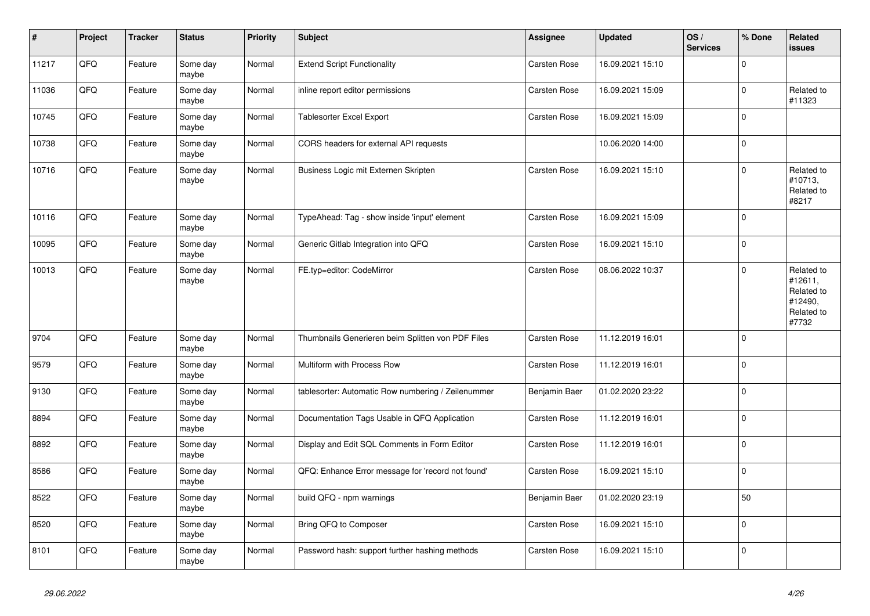| $\vert$ # | Project | <b>Tracker</b> | <b>Status</b>     | <b>Priority</b> | <b>Subject</b>                                     | Assignee      | <b>Updated</b>   | OS/<br><b>Services</b> | % Done      | Related<br>issues                                                     |
|-----------|---------|----------------|-------------------|-----------------|----------------------------------------------------|---------------|------------------|------------------------|-------------|-----------------------------------------------------------------------|
| 11217     | QFQ     | Feature        | Some day<br>maybe | Normal          | <b>Extend Script Functionality</b>                 | Carsten Rose  | 16.09.2021 15:10 |                        | $\Omega$    |                                                                       |
| 11036     | QFQ     | Feature        | Some day<br>maybe | Normal          | inline report editor permissions                   | Carsten Rose  | 16.09.2021 15:09 |                        | $\mathbf 0$ | Related to<br>#11323                                                  |
| 10745     | QFQ     | Feature        | Some day<br>maybe | Normal          | <b>Tablesorter Excel Export</b>                    | Carsten Rose  | 16.09.2021 15:09 |                        | $\Omega$    |                                                                       |
| 10738     | QFQ     | Feature        | Some day<br>maybe | Normal          | CORS headers for external API requests             |               | 10.06.2020 14:00 |                        | $\Omega$    |                                                                       |
| 10716     | QFQ     | Feature        | Some day<br>maybe | Normal          | Business Logic mit Externen Skripten               | Carsten Rose  | 16.09.2021 15:10 |                        | $\mathbf 0$ | Related to<br>#10713,<br>Related to<br>#8217                          |
| 10116     | QFQ     | Feature        | Some day<br>maybe | Normal          | TypeAhead: Tag - show inside 'input' element       | Carsten Rose  | 16.09.2021 15:09 |                        | $\Omega$    |                                                                       |
| 10095     | QFQ     | Feature        | Some day<br>maybe | Normal          | Generic Gitlab Integration into QFQ                | Carsten Rose  | 16.09.2021 15:10 |                        | $\mathbf 0$ |                                                                       |
| 10013     | QFQ     | Feature        | Some day<br>maybe | Normal          | FE.typ=editor: CodeMirror                          | Carsten Rose  | 08.06.2022 10:37 |                        | $\Omega$    | Related to<br>#12611,<br>Related to<br>#12490,<br>Related to<br>#7732 |
| 9704      | QFQ     | Feature        | Some day<br>maybe | Normal          | Thumbnails Generieren beim Splitten von PDF Files  | Carsten Rose  | 11.12.2019 16:01 |                        | $\Omega$    |                                                                       |
| 9579      | QFQ     | Feature        | Some day<br>maybe | Normal          | Multiform with Process Row                         | Carsten Rose  | 11.12.2019 16:01 |                        | $\Omega$    |                                                                       |
| 9130      | QFQ     | Feature        | Some day<br>maybe | Normal          | tablesorter: Automatic Row numbering / Zeilenummer | Benjamin Baer | 01.02.2020 23:22 |                        | $\Omega$    |                                                                       |
| 8894      | QFQ     | Feature        | Some day<br>maybe | Normal          | Documentation Tags Usable in QFQ Application       | Carsten Rose  | 11.12.2019 16:01 |                        | $\mathbf 0$ |                                                                       |
| 8892      | QFQ     | Feature        | Some day<br>maybe | Normal          | Display and Edit SQL Comments in Form Editor       | Carsten Rose  | 11.12.2019 16:01 |                        | $\Omega$    |                                                                       |
| 8586      | QFQ     | Feature        | Some day<br>maybe | Normal          | QFQ: Enhance Error message for 'record not found'  | Carsten Rose  | 16.09.2021 15:10 |                        | $\Omega$    |                                                                       |
| 8522      | QFQ     | Feature        | Some day<br>maybe | Normal          | build QFQ - npm warnings                           | Benjamin Baer | 01.02.2020 23:19 |                        | 50          |                                                                       |
| 8520      | QFQ     | Feature        | Some day<br>maybe | Normal          | Bring QFQ to Composer                              | Carsten Rose  | 16.09.2021 15:10 |                        | $\Omega$    |                                                                       |
| 8101      | QFQ     | Feature        | Some day<br>maybe | Normal          | Password hash: support further hashing methods     | Carsten Rose  | 16.09.2021 15:10 |                        | $\mathbf 0$ |                                                                       |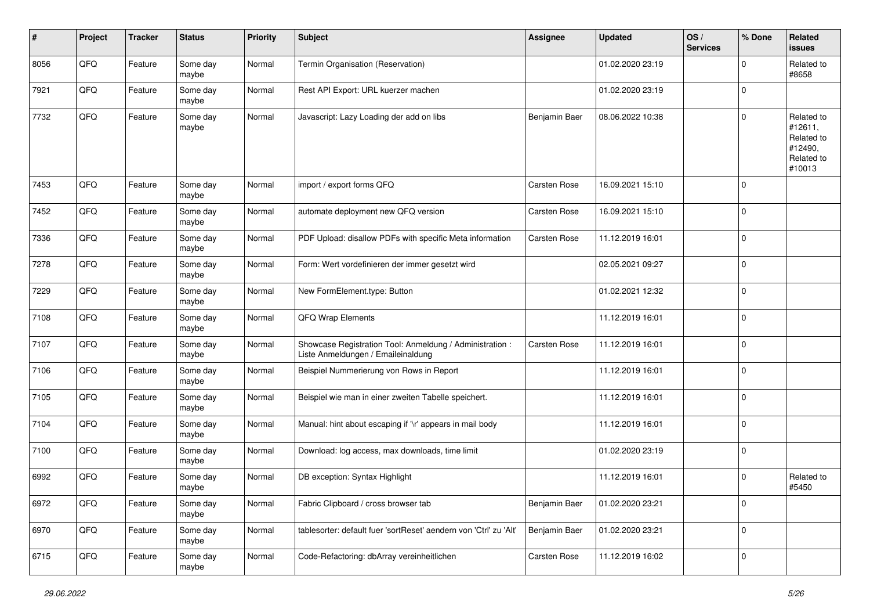| $\#$ | Project | <b>Tracker</b> | <b>Status</b>     | <b>Priority</b> | <b>Subject</b>                                                                                 | <b>Assignee</b>     | <b>Updated</b>   | OS/<br><b>Services</b> | % Done      | Related<br><b>issues</b>                                               |
|------|---------|----------------|-------------------|-----------------|------------------------------------------------------------------------------------------------|---------------------|------------------|------------------------|-------------|------------------------------------------------------------------------|
| 8056 | QFQ     | Feature        | Some day<br>maybe | Normal          | Termin Organisation (Reservation)                                                              |                     | 01.02.2020 23:19 |                        | $\mathbf 0$ | Related to<br>#8658                                                    |
| 7921 | QFQ     | Feature        | Some day<br>maybe | Normal          | Rest API Export: URL kuerzer machen                                                            |                     | 01.02.2020 23:19 |                        | $\mathbf 0$ |                                                                        |
| 7732 | QFQ     | Feature        | Some day<br>maybe | Normal          | Javascript: Lazy Loading der add on libs                                                       | Benjamin Baer       | 08.06.2022 10:38 |                        | $\Omega$    | Related to<br>#12611,<br>Related to<br>#12490,<br>Related to<br>#10013 |
| 7453 | QFQ     | Feature        | Some day<br>maybe | Normal          | import / export forms QFQ                                                                      | Carsten Rose        | 16.09.2021 15:10 |                        | $\Omega$    |                                                                        |
| 7452 | QFQ     | Feature        | Some day<br>maybe | Normal          | automate deployment new QFQ version                                                            | Carsten Rose        | 16.09.2021 15:10 |                        | $\Omega$    |                                                                        |
| 7336 | QFQ     | Feature        | Some day<br>maybe | Normal          | PDF Upload: disallow PDFs with specific Meta information                                       | <b>Carsten Rose</b> | 11.12.2019 16:01 |                        | $\mathbf 0$ |                                                                        |
| 7278 | QFQ     | Feature        | Some day<br>maybe | Normal          | Form: Wert vordefinieren der immer gesetzt wird                                                |                     | 02.05.2021 09:27 |                        | $\mathbf 0$ |                                                                        |
| 7229 | QFQ     | Feature        | Some day<br>maybe | Normal          | New FormElement.type: Button                                                                   |                     | 01.02.2021 12:32 |                        | 0           |                                                                        |
| 7108 | QFQ     | Feature        | Some day<br>maybe | Normal          | QFQ Wrap Elements                                                                              |                     | 11.12.2019 16:01 |                        | $\mathbf 0$ |                                                                        |
| 7107 | QFQ     | Feature        | Some day<br>maybe | Normal          | Showcase Registration Tool: Anmeldung / Administration :<br>Liste Anmeldungen / Emaileinaldung | Carsten Rose        | 11.12.2019 16:01 |                        | $\mathbf 0$ |                                                                        |
| 7106 | QFQ     | Feature        | Some day<br>maybe | Normal          | Beispiel Nummerierung von Rows in Report                                                       |                     | 11.12.2019 16:01 |                        | $\Omega$    |                                                                        |
| 7105 | QFQ     | Feature        | Some day<br>maybe | Normal          | Beispiel wie man in einer zweiten Tabelle speichert.                                           |                     | 11.12.2019 16:01 |                        | $\Omega$    |                                                                        |
| 7104 | QFQ     | Feature        | Some day<br>maybe | Normal          | Manual: hint about escaping if '\r' appears in mail body                                       |                     | 11.12.2019 16:01 |                        | $\mathbf 0$ |                                                                        |
| 7100 | QFQ     | Feature        | Some day<br>maybe | Normal          | Download: log access, max downloads, time limit                                                |                     | 01.02.2020 23:19 |                        | $\mathbf 0$ |                                                                        |
| 6992 | QFQ     | Feature        | Some day<br>maybe | Normal          | DB exception: Syntax Highlight                                                                 |                     | 11.12.2019 16:01 |                        | $\Omega$    | Related to<br>#5450                                                    |
| 6972 | QFG     | Feature        | Some day<br>maybe | Normal          | Fabric Clipboard / cross browser tab                                                           | Benjamin Baer       | 01.02.2020 23:21 |                        | $\mathbf 0$ |                                                                        |
| 6970 | QFQ     | Feature        | Some day<br>maybe | Normal          | tablesorter: default fuer 'sortReset' aendern von 'Ctrl' zu 'Alt'                              | Benjamin Baer       | 01.02.2020 23:21 |                        | 0           |                                                                        |
| 6715 | QFG     | Feature        | Some day<br>maybe | Normal          | Code-Refactoring: dbArray vereinheitlichen                                                     | Carsten Rose        | 11.12.2019 16:02 |                        | $\mathbf 0$ |                                                                        |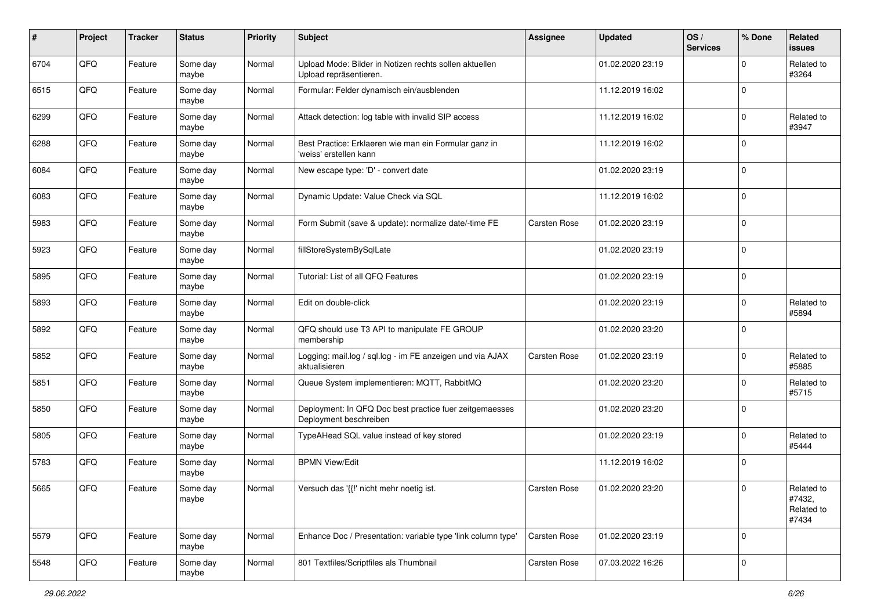| $\sharp$ | Project | <b>Tracker</b> | <b>Status</b>     | <b>Priority</b> | <b>Subject</b>                                                                    | <b>Assignee</b>     | <b>Updated</b>   | OS/<br><b>Services</b> | % Done      | Related<br><b>issues</b>                    |
|----------|---------|----------------|-------------------|-----------------|-----------------------------------------------------------------------------------|---------------------|------------------|------------------------|-------------|---------------------------------------------|
| 6704     | QFQ     | Feature        | Some day<br>maybe | Normal          | Upload Mode: Bilder in Notizen rechts sollen aktuellen<br>Upload repräsentieren.  |                     | 01.02.2020 23:19 |                        | 0           | Related to<br>#3264                         |
| 6515     | QFQ     | Feature        | Some day<br>maybe | Normal          | Formular: Felder dynamisch ein/ausblenden                                         |                     | 11.12.2019 16:02 |                        | $\mathbf 0$ |                                             |
| 6299     | QFQ     | Feature        | Some day<br>maybe | Normal          | Attack detection: log table with invalid SIP access                               |                     | 11.12.2019 16:02 |                        | 0           | Related to<br>#3947                         |
| 6288     | QFQ     | Feature        | Some day<br>maybe | Normal          | Best Practice: Erklaeren wie man ein Formular ganz in<br>'weiss' erstellen kann   |                     | 11.12.2019 16:02 |                        | $\mathbf 0$ |                                             |
| 6084     | QFQ     | Feature        | Some day<br>maybe | Normal          | New escape type: 'D' - convert date                                               |                     | 01.02.2020 23:19 |                        | $\mathbf 0$ |                                             |
| 6083     | QFQ     | Feature        | Some day<br>maybe | Normal          | Dynamic Update: Value Check via SQL                                               |                     | 11.12.2019 16:02 |                        | $\Omega$    |                                             |
| 5983     | QFQ     | Feature        | Some day<br>maybe | Normal          | Form Submit (save & update): normalize date/-time FE                              | <b>Carsten Rose</b> | 01.02.2020 23:19 |                        | $\Omega$    |                                             |
| 5923     | QFQ     | Feature        | Some day<br>maybe | Normal          | fillStoreSystemBySqlLate                                                          |                     | 01.02.2020 23:19 |                        | $\Omega$    |                                             |
| 5895     | QFQ     | Feature        | Some day<br>maybe | Normal          | Tutorial: List of all QFQ Features                                                |                     | 01.02.2020 23:19 |                        | $\mathbf 0$ |                                             |
| 5893     | QFQ     | Feature        | Some day<br>maybe | Normal          | Edit on double-click                                                              |                     | 01.02.2020 23:19 |                        | $\Omega$    | Related to<br>#5894                         |
| 5892     | QFQ     | Feature        | Some day<br>maybe | Normal          | QFQ should use T3 API to manipulate FE GROUP<br>membership                        |                     | 01.02.2020 23:20 |                        | $\Omega$    |                                             |
| 5852     | QFQ     | Feature        | Some day<br>maybe | Normal          | Logging: mail.log / sql.log - im FE anzeigen und via AJAX<br>aktualisieren        | <b>Carsten Rose</b> | 01.02.2020 23:19 |                        | $\Omega$    | Related to<br>#5885                         |
| 5851     | QFQ     | Feature        | Some day<br>maybe | Normal          | Queue System implementieren: MQTT, RabbitMQ                                       |                     | 01.02.2020 23:20 |                        | $\Omega$    | Related to<br>#5715                         |
| 5850     | QFQ     | Feature        | Some day<br>maybe | Normal          | Deployment: In QFQ Doc best practice fuer zeitgemaesses<br>Deployment beschreiben |                     | 01.02.2020 23:20 |                        | $\Omega$    |                                             |
| 5805     | QFQ     | Feature        | Some day<br>maybe | Normal          | TypeAHead SQL value instead of key stored                                         |                     | 01.02.2020 23:19 |                        | $\Omega$    | Related to<br>#5444                         |
| 5783     | QFQ     | Feature        | Some day<br>maybe | Normal          | <b>BPMN View/Edit</b>                                                             |                     | 11.12.2019 16:02 |                        | 0           |                                             |
| 5665     | QFQ     | Feature        | Some day<br>maybe | Normal          | Versuch das '{{!' nicht mehr noetig ist.                                          | <b>Carsten Rose</b> | 01.02.2020 23:20 |                        | $\Omega$    | Related to<br>#7432,<br>Related to<br>#7434 |
| 5579     | QFQ     | Feature        | Some day<br>maybe | Normal          | Enhance Doc / Presentation: variable type 'link column type'                      | Carsten Rose        | 01.02.2020 23:19 |                        | $\mathbf 0$ |                                             |
| 5548     | QFG     | Feature        | Some day<br>maybe | Normal          | 801 Textfiles/Scriptfiles als Thumbnail                                           | Carsten Rose        | 07.03.2022 16:26 |                        | $\mathbf 0$ |                                             |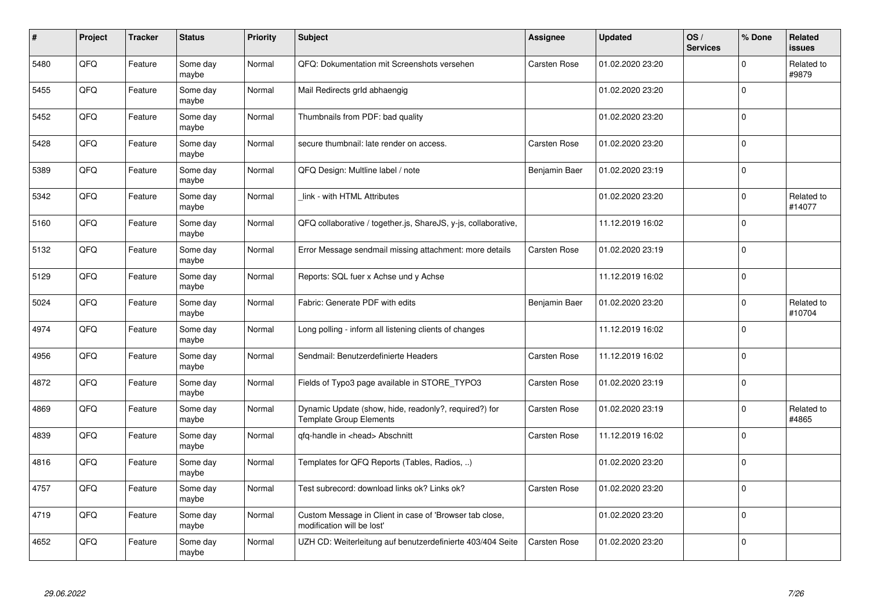| #    | Project | <b>Tracker</b> | <b>Status</b>     | <b>Priority</b> | <b>Subject</b>                                                                          | <b>Assignee</b>     | <b>Updated</b>   | OS/<br><b>Services</b> | % Done      | Related<br><b>issues</b> |
|------|---------|----------------|-------------------|-----------------|-----------------------------------------------------------------------------------------|---------------------|------------------|------------------------|-------------|--------------------------|
| 5480 | QFQ     | Feature        | Some day<br>maybe | Normal          | QFQ: Dokumentation mit Screenshots versehen                                             | Carsten Rose        | 01.02.2020 23:20 |                        | $\Omega$    | Related to<br>#9879      |
| 5455 | QFQ     | Feature        | Some day<br>maybe | Normal          | Mail Redirects grld abhaengig                                                           |                     | 01.02.2020 23:20 |                        | $\Omega$    |                          |
| 5452 | QFQ     | Feature        | Some day<br>maybe | Normal          | Thumbnails from PDF: bad quality                                                        |                     | 01.02.2020 23:20 |                        | $\Omega$    |                          |
| 5428 | QFQ     | Feature        | Some day<br>maybe | Normal          | secure thumbnail: late render on access.                                                | <b>Carsten Rose</b> | 01.02.2020 23:20 |                        | $\Omega$    |                          |
| 5389 | QFQ     | Feature        | Some day<br>maybe | Normal          | QFQ Design: Multline label / note                                                       | Benjamin Baer       | 01.02.2020 23:19 |                        | $\Omega$    |                          |
| 5342 | QFQ     | Feature        | Some day<br>maybe | Normal          | link - with HTML Attributes                                                             |                     | 01.02.2020 23:20 |                        | $\Omega$    | Related to<br>#14077     |
| 5160 | QFQ     | Feature        | Some day<br>maybe | Normal          | QFQ collaborative / together.js, ShareJS, y-js, collaborative,                          |                     | 11.12.2019 16:02 |                        | $\Omega$    |                          |
| 5132 | QFQ     | Feature        | Some day<br>maybe | Normal          | Error Message sendmail missing attachment: more details                                 | <b>Carsten Rose</b> | 01.02.2020 23:19 |                        | $\Omega$    |                          |
| 5129 | QFQ     | Feature        | Some day<br>maybe | Normal          | Reports: SQL fuer x Achse und y Achse                                                   |                     | 11.12.2019 16:02 |                        | $\Omega$    |                          |
| 5024 | QFQ     | Feature        | Some day<br>maybe | Normal          | Fabric: Generate PDF with edits                                                         | Benjamin Baer       | 01.02.2020 23:20 |                        | $\mathbf 0$ | Related to<br>#10704     |
| 4974 | QFQ     | Feature        | Some day<br>maybe | Normal          | Long polling - inform all listening clients of changes                                  |                     | 11.12.2019 16:02 |                        | $\Omega$    |                          |
| 4956 | QFQ     | Feature        | Some day<br>maybe | Normal          | Sendmail: Benutzerdefinierte Headers                                                    | Carsten Rose        | 11.12.2019 16:02 |                        | $\Omega$    |                          |
| 4872 | QFQ     | Feature        | Some day<br>maybe | Normal          | Fields of Typo3 page available in STORE_TYPO3                                           | <b>Carsten Rose</b> | 01.02.2020 23:19 |                        | $\mathbf 0$ |                          |
| 4869 | QFQ     | Feature        | Some day<br>maybe | Normal          | Dynamic Update (show, hide, readonly?, required?) for<br><b>Template Group Elements</b> | Carsten Rose        | 01.02.2020 23:19 |                        | $\Omega$    | Related to<br>#4865      |
| 4839 | QFQ     | Feature        | Some day<br>maybe | Normal          | gfg-handle in <head> Abschnitt</head>                                                   | <b>Carsten Rose</b> | 11.12.2019 16:02 |                        | $\Omega$    |                          |
| 4816 | QFQ     | Feature        | Some day<br>maybe | Normal          | Templates for QFQ Reports (Tables, Radios, )                                            |                     | 01.02.2020 23:20 |                        | $\Omega$    |                          |
| 4757 | QFQ     | Feature        | Some day<br>maybe | Normal          | Test subrecord: download links ok? Links ok?                                            | <b>Carsten Rose</b> | 01.02.2020 23:20 |                        | $\Omega$    |                          |
| 4719 | QFQ     | Feature        | Some day<br>maybe | Normal          | Custom Message in Client in case of 'Browser tab close,<br>modification will be lost'   |                     | 01.02.2020 23:20 |                        | $\mathbf 0$ |                          |
| 4652 | QFQ     | Feature        | Some day<br>maybe | Normal          | UZH CD: Weiterleitung auf benutzerdefinierte 403/404 Seite                              | Carsten Rose        | 01.02.2020 23:20 |                        | $\Omega$    |                          |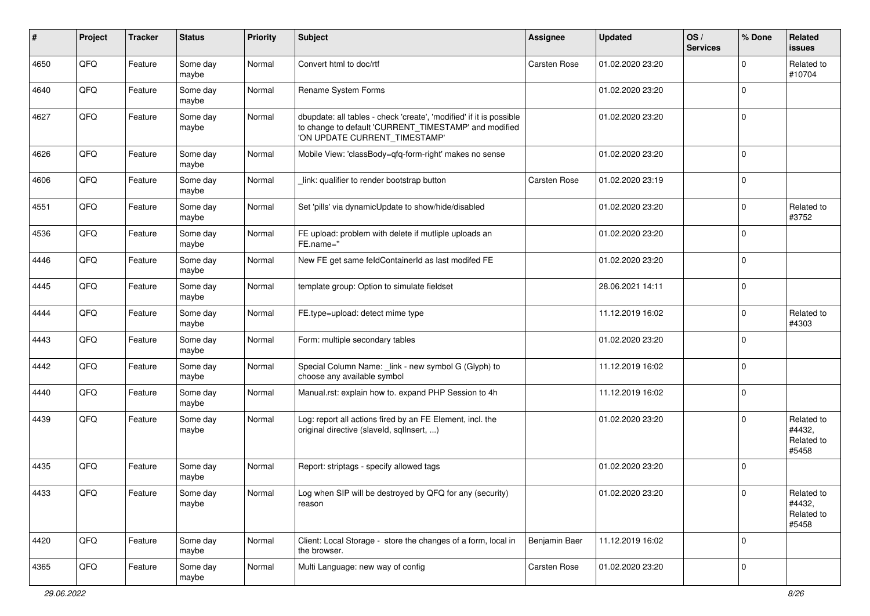| #    | Project | <b>Tracker</b> | <b>Status</b>     | <b>Priority</b> | <b>Subject</b>                                                                                                                                                | <b>Assignee</b>     | <b>Updated</b>   | OS/<br><b>Services</b> | % Done      | Related<br><b>issues</b>                    |
|------|---------|----------------|-------------------|-----------------|---------------------------------------------------------------------------------------------------------------------------------------------------------------|---------------------|------------------|------------------------|-------------|---------------------------------------------|
| 4650 | QFQ     | Feature        | Some day<br>maybe | Normal          | Convert html to doc/rtf                                                                                                                                       | Carsten Rose        | 01.02.2020 23:20 |                        | $\Omega$    | Related to<br>#10704                        |
| 4640 | QFQ     | Feature        | Some day<br>maybe | Normal          | Rename System Forms                                                                                                                                           |                     | 01.02.2020 23:20 |                        | $\mathbf 0$ |                                             |
| 4627 | QFQ     | Feature        | Some day<br>maybe | Normal          | dbupdate: all tables - check 'create', 'modified' if it is possible<br>to change to default 'CURRENT_TIMESTAMP' and modified<br>'ON UPDATE CURRENT_TIMESTAMP' |                     | 01.02.2020 23:20 |                        | $\Omega$    |                                             |
| 4626 | QFQ     | Feature        | Some day<br>maybe | Normal          | Mobile View: 'classBody=qfq-form-right' makes no sense                                                                                                        |                     | 01.02.2020 23:20 |                        | $\Omega$    |                                             |
| 4606 | QFQ     | Feature        | Some day<br>maybe | Normal          | link: qualifier to render bootstrap button                                                                                                                    | <b>Carsten Rose</b> | 01.02.2020 23:19 |                        | $\mathbf 0$ |                                             |
| 4551 | QFQ     | Feature        | Some day<br>maybe | Normal          | Set 'pills' via dynamicUpdate to show/hide/disabled                                                                                                           |                     | 01.02.2020 23:20 |                        | $\mathbf 0$ | Related to<br>#3752                         |
| 4536 | QFQ     | Feature        | Some day<br>maybe | Normal          | FE upload: problem with delete if mutliple uploads an<br>FE.name="                                                                                            |                     | 01.02.2020 23:20 |                        | $\Omega$    |                                             |
| 4446 | QFQ     | Feature        | Some day<br>maybe | Normal          | New FE get same feldContainerId as last modifed FE                                                                                                            |                     | 01.02.2020 23:20 |                        | $\Omega$    |                                             |
| 4445 | QFQ     | Feature        | Some day<br>maybe | Normal          | template group: Option to simulate fieldset                                                                                                                   |                     | 28.06.2021 14:11 |                        | $\mathbf 0$ |                                             |
| 4444 | QFQ     | Feature        | Some day<br>maybe | Normal          | FE.type=upload: detect mime type                                                                                                                              |                     | 11.12.2019 16:02 |                        | $\mathbf 0$ | Related to<br>#4303                         |
| 4443 | QFQ     | Feature        | Some day<br>maybe | Normal          | Form: multiple secondary tables                                                                                                                               |                     | 01.02.2020 23:20 |                        | $\Omega$    |                                             |
| 4442 | QFQ     | Feature        | Some day<br>maybe | Normal          | Special Column Name: _link - new symbol G (Glyph) to<br>choose any available symbol                                                                           |                     | 11.12.2019 16:02 |                        | $\Omega$    |                                             |
| 4440 | QFQ     | Feature        | Some day<br>maybe | Normal          | Manual.rst: explain how to. expand PHP Session to 4h                                                                                                          |                     | 11.12.2019 16:02 |                        | $\Omega$    |                                             |
| 4439 | QFQ     | Feature        | Some day<br>maybe | Normal          | Log: report all actions fired by an FE Element, incl. the<br>original directive (slaveld, sqlInsert, )                                                        |                     | 01.02.2020 23:20 |                        | $\Omega$    | Related to<br>#4432,<br>Related to<br>#5458 |
| 4435 | QFQ     | Feature        | Some day<br>maybe | Normal          | Report: striptags - specify allowed tags                                                                                                                      |                     | 01.02.2020 23:20 |                        | $\Omega$    |                                             |
| 4433 | QFQ     | Feature        | Some day<br>maybe | Normal          | Log when SIP will be destroyed by QFQ for any (security)<br>reason                                                                                            |                     | 01.02.2020 23:20 |                        |             | Related to<br>#4432,<br>Related to<br>#5458 |
| 4420 | QFQ     | Feature        | Some day<br>maybe | Normal          | Client: Local Storage - store the changes of a form, local in<br>the browser.                                                                                 | Benjamin Baer       | 11.12.2019 16:02 |                        | $\mathbf 0$ |                                             |
| 4365 | QFQ     | Feature        | Some day<br>maybe | Normal          | Multi Language: new way of config                                                                                                                             | Carsten Rose        | 01.02.2020 23:20 |                        | 0           |                                             |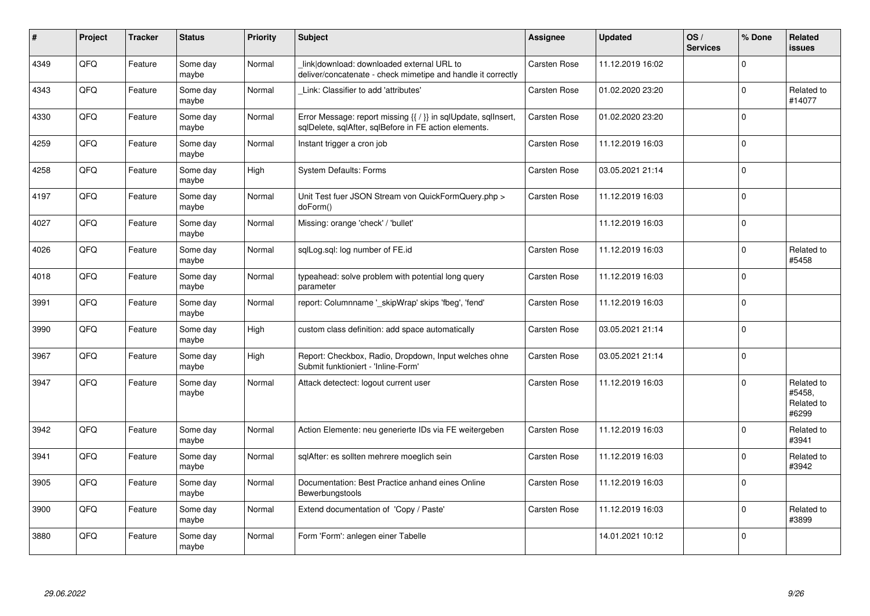| $\sharp$ | Project | <b>Tracker</b> | <b>Status</b>     | <b>Priority</b> | <b>Subject</b>                                                                                                          | <b>Assignee</b>     | <b>Updated</b>   | OS/<br><b>Services</b> | % Done      | Related<br><b>issues</b>                    |
|----------|---------|----------------|-------------------|-----------------|-------------------------------------------------------------------------------------------------------------------------|---------------------|------------------|------------------------|-------------|---------------------------------------------|
| 4349     | QFQ     | Feature        | Some day<br>maybe | Normal          | link download: downloaded external URL to<br>deliver/concatenate - check mimetipe and handle it correctly               | Carsten Rose        | 11.12.2019 16:02 |                        | $\Omega$    |                                             |
| 4343     | QFQ     | Feature        | Some day<br>maybe | Normal          | Link: Classifier to add 'attributes'                                                                                    | Carsten Rose        | 01.02.2020 23:20 |                        | $\mathbf 0$ | Related to<br>#14077                        |
| 4330     | QFQ     | Feature        | Some day<br>maybe | Normal          | Error Message: report missing {{ / }} in sqlUpdate, sqlInsert,<br>sqlDelete, sqlAfter, sqlBefore in FE action elements. | <b>Carsten Rose</b> | 01.02.2020 23:20 |                        | $\mathbf 0$ |                                             |
| 4259     | QFQ     | Feature        | Some day<br>maybe | Normal          | Instant trigger a cron job                                                                                              | <b>Carsten Rose</b> | 11.12.2019 16:03 |                        | $\Omega$    |                                             |
| 4258     | QFQ     | Feature        | Some day<br>maybe | High            | <b>System Defaults: Forms</b>                                                                                           | <b>Carsten Rose</b> | 03.05.2021 21:14 |                        | $\Omega$    |                                             |
| 4197     | QFQ     | Feature        | Some day<br>maybe | Normal          | Unit Test fuer JSON Stream von QuickFormQuery.php ><br>doForm()                                                         | <b>Carsten Rose</b> | 11.12.2019 16:03 |                        | $\Omega$    |                                             |
| 4027     | QFQ     | Feature        | Some day<br>maybe | Normal          | Missing: orange 'check' / 'bullet'                                                                                      |                     | 11.12.2019 16:03 |                        | $\Omega$    |                                             |
| 4026     | QFQ     | Feature        | Some day<br>maybe | Normal          | sqlLog.sql: log number of FE.id                                                                                         | Carsten Rose        | 11.12.2019 16:03 |                        | $\Omega$    | Related to<br>#5458                         |
| 4018     | QFQ     | Feature        | Some day<br>maybe | Normal          | typeahead: solve problem with potential long query<br>parameter                                                         | Carsten Rose        | 11.12.2019 16:03 |                        | $\Omega$    |                                             |
| 3991     | QFQ     | Feature        | Some day<br>maybe | Normal          | report: Columnname ' skipWrap' skips 'fbeg', 'fend'                                                                     | <b>Carsten Rose</b> | 11.12.2019 16:03 |                        | $\Omega$    |                                             |
| 3990     | QFQ     | Feature        | Some day<br>maybe | High            | custom class definition: add space automatically                                                                        | <b>Carsten Rose</b> | 03.05.2021 21:14 |                        | $\Omega$    |                                             |
| 3967     | QFQ     | Feature        | Some day<br>maybe | High            | Report: Checkbox, Radio, Dropdown, Input welches ohne<br>Submit funktioniert - 'Inline-Form'                            | <b>Carsten Rose</b> | 03.05.2021 21:14 |                        | $\Omega$    |                                             |
| 3947     | QFQ     | Feature        | Some day<br>maybe | Normal          | Attack detectect: logout current user                                                                                   | <b>Carsten Rose</b> | 11.12.2019 16:03 |                        | $\Omega$    | Related to<br>#5458,<br>Related to<br>#6299 |
| 3942     | QFQ     | Feature        | Some day<br>maybe | Normal          | Action Elemente: neu generierte IDs via FE weitergeben                                                                  | <b>Carsten Rose</b> | 11.12.2019 16:03 |                        | $\Omega$    | Related to<br>#3941                         |
| 3941     | QFQ     | Feature        | Some day<br>maybe | Normal          | sqlAfter: es sollten mehrere moeglich sein                                                                              | <b>Carsten Rose</b> | 11.12.2019 16:03 |                        | $\Omega$    | Related to<br>#3942                         |
| 3905     | QFQ     | Feature        | Some day<br>maybe | Normal          | Documentation: Best Practice anhand eines Online<br>Bewerbungstools                                                     | <b>Carsten Rose</b> | 11.12.2019 16:03 |                        | $\Omega$    |                                             |
| 3900     | QFQ     | Feature        | Some day<br>maybe | Normal          | Extend documentation of 'Copy / Paste'                                                                                  | <b>Carsten Rose</b> | 11.12.2019 16:03 |                        | $\Omega$    | Related to<br>#3899                         |
| 3880     | QFQ     | Feature        | Some day<br>maybe | Normal          | Form 'Form': anlegen einer Tabelle                                                                                      |                     | 14.01.2021 10:12 |                        | $\Omega$    |                                             |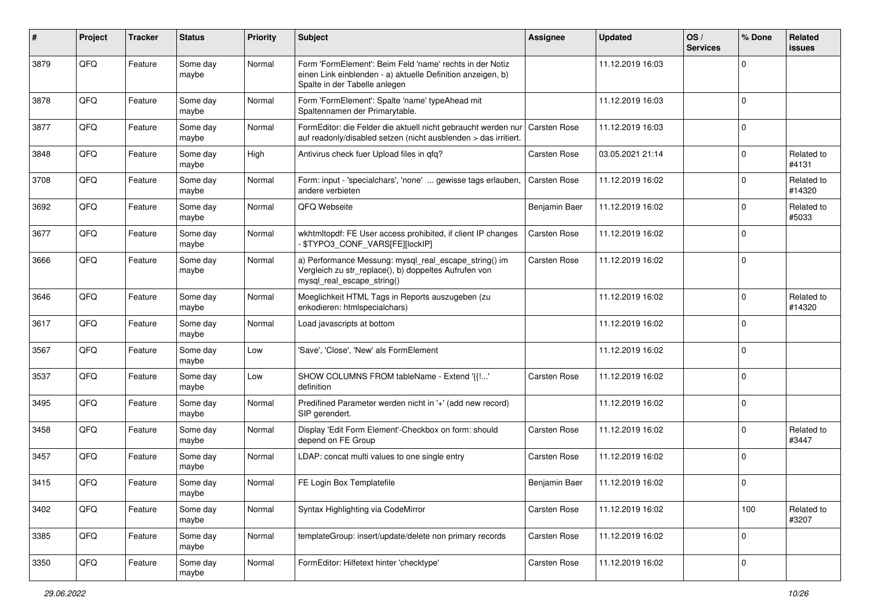| $\vert$ # | Project | <b>Tracker</b> | <b>Status</b>     | <b>Priority</b> | <b>Subject</b>                                                                                                                                           | Assignee            | <b>Updated</b>   | OS/<br><b>Services</b> | % Done      | Related<br>issues    |
|-----------|---------|----------------|-------------------|-----------------|----------------------------------------------------------------------------------------------------------------------------------------------------------|---------------------|------------------|------------------------|-------------|----------------------|
| 3879      | QFQ     | Feature        | Some day<br>maybe | Normal          | Form 'FormElement': Beim Feld 'name' rechts in der Notiz<br>einen Link einblenden - a) aktuelle Definition anzeigen, b)<br>Spalte in der Tabelle anlegen |                     | 11.12.2019 16:03 |                        | 0           |                      |
| 3878      | QFQ     | Feature        | Some day<br>maybe | Normal          | Form 'FormElement': Spalte 'name' typeAhead mit<br>Spaltennamen der Primarytable.                                                                        |                     | 11.12.2019 16:03 |                        | $\mathbf 0$ |                      |
| 3877      | QFQ     | Feature        | Some day<br>maybe | Normal          | FormEditor: die Felder die aktuell nicht gebraucht werden nur<br>auf readonly/disabled setzen (nicht ausblenden > das irritiert.                         | Carsten Rose        | 11.12.2019 16:03 |                        | $\mathbf 0$ |                      |
| 3848      | QFQ     | Feature        | Some day<br>maybe | High            | Antivirus check fuer Upload files in qfq?                                                                                                                | Carsten Rose        | 03.05.2021 21:14 |                        | 0           | Related to<br>#4131  |
| 3708      | QFQ     | Feature        | Some day<br>maybe | Normal          | Form: input - 'specialchars', 'none'  gewisse tags erlauben,<br>andere verbieten                                                                         | <b>Carsten Rose</b> | 11.12.2019 16:02 |                        | $\mathbf 0$ | Related to<br>#14320 |
| 3692      | QFQ     | Feature        | Some day<br>maybe | Normal          | QFQ Webseite                                                                                                                                             | Benjamin Baer       | 11.12.2019 16:02 |                        | $\Omega$    | Related to<br>#5033  |
| 3677      | QFQ     | Feature        | Some day<br>maybe | Normal          | wkhtmltopdf: FE User access prohibited, if client IP changes<br>\$TYPO3_CONF_VARS[FE][lockIP]                                                            | <b>Carsten Rose</b> | 11.12.2019 16:02 |                        | $\Omega$    |                      |
| 3666      | QFQ     | Feature        | Some day<br>maybe | Normal          | a) Performance Messung: mysql_real_escape_string() im<br>Vergleich zu str_replace(), b) doppeltes Aufrufen von<br>mysql_real_escape_string()             | <b>Carsten Rose</b> | 11.12.2019 16:02 |                        | $\Omega$    |                      |
| 3646      | QFQ     | Feature        | Some day<br>maybe | Normal          | Moeglichkeit HTML Tags in Reports auszugeben (zu<br>enkodieren: htmlspecialchars)                                                                        |                     | 11.12.2019 16:02 |                        | 0           | Related to<br>#14320 |
| 3617      | QFQ     | Feature        | Some day<br>maybe | Normal          | Load javascripts at bottom                                                                                                                               |                     | 11.12.2019 16:02 |                        | $\mathbf 0$ |                      |
| 3567      | QFQ     | Feature        | Some day<br>maybe | Low             | 'Save', 'Close', 'New' als FormElement                                                                                                                   |                     | 11.12.2019 16:02 |                        | $\mathbf 0$ |                      |
| 3537      | QFQ     | Feature        | Some day<br>maybe | Low             | SHOW COLUMNS FROM tableName - Extend '{{!'<br>definition                                                                                                 | Carsten Rose        | 11.12.2019 16:02 |                        | $\Omega$    |                      |
| 3495      | QFQ     | Feature        | Some day<br>maybe | Normal          | Predifined Parameter werden nicht in '+' (add new record)<br>SIP gerendert.                                                                              |                     | 11.12.2019 16:02 |                        | $\Omega$    |                      |
| 3458      | QFQ     | Feature        | Some day<br>maybe | Normal          | Display 'Edit Form Element'-Checkbox on form: should<br>depend on FE Group                                                                               | Carsten Rose        | 11.12.2019 16:02 |                        | 0           | Related to<br>#3447  |
| 3457      | QFQ     | Feature        | Some day<br>maybe | Normal          | LDAP: concat multi values to one single entry                                                                                                            | Carsten Rose        | 11.12.2019 16:02 |                        | $\Omega$    |                      |
| 3415      | QFQ     | Feature        | Some day<br>maybe | Normal          | FE Login Box Templatefile                                                                                                                                | Benjamin Baer       | 11.12.2019 16:02 |                        | $\Omega$    |                      |
| 3402      | QFQ     | Feature        | Some day<br>maybe | Normal          | Syntax Highlighting via CodeMirror                                                                                                                       | Carsten Rose        | 11.12.2019 16:02 |                        | 100         | Related to<br>#3207  |
| 3385      | QFO     | Feature        | Some day<br>maybe | Normal          | templateGroup: insert/update/delete non primary records                                                                                                  | Carsten Rose        | 11.12.2019 16:02 |                        | $\mathbf 0$ |                      |
| 3350      | QFQ     | Feature        | Some day<br>maybe | Normal          | FormEditor: Hilfetext hinter 'checktype'                                                                                                                 | Carsten Rose        | 11.12.2019 16:02 |                        | $\mathbf 0$ |                      |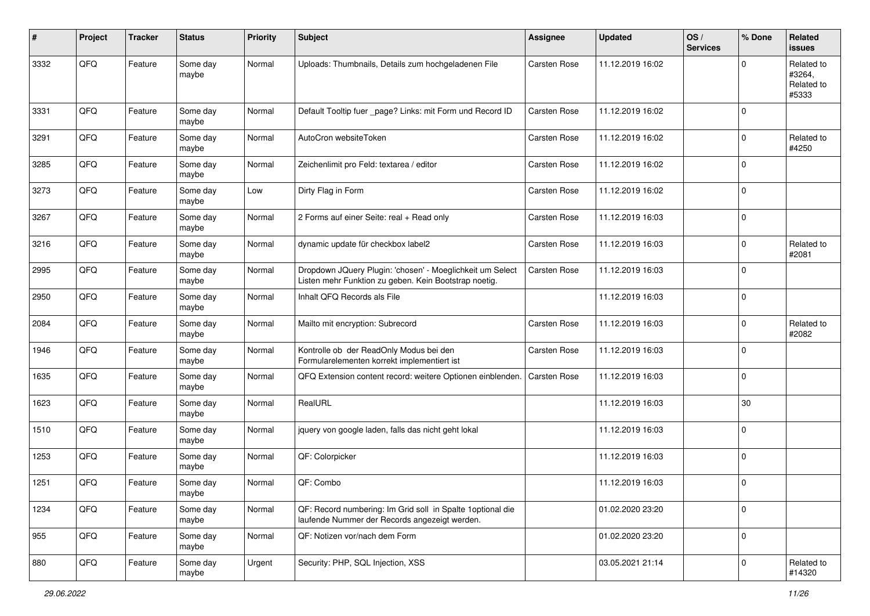| #    | Project | <b>Tracker</b> | <b>Status</b>     | <b>Priority</b> | <b>Subject</b>                                                                                                     | <b>Assignee</b>     | <b>Updated</b>   | OS/<br><b>Services</b> | % Done      | Related<br>issues                           |
|------|---------|----------------|-------------------|-----------------|--------------------------------------------------------------------------------------------------------------------|---------------------|------------------|------------------------|-------------|---------------------------------------------|
| 3332 | QFQ     | Feature        | Some day<br>maybe | Normal          | Uploads: Thumbnails, Details zum hochgeladenen File                                                                | Carsten Rose        | 11.12.2019 16:02 |                        | $\Omega$    | Related to<br>#3264,<br>Related to<br>#5333 |
| 3331 | QFQ     | Feature        | Some day<br>maybe | Normal          | Default Tooltip fuer _page? Links: mit Form und Record ID                                                          | <b>Carsten Rose</b> | 11.12.2019 16:02 |                        | $\Omega$    |                                             |
| 3291 | QFQ     | Feature        | Some day<br>maybe | Normal          | AutoCron websiteToken                                                                                              | <b>Carsten Rose</b> | 11.12.2019 16:02 |                        | $\Omega$    | Related to<br>#4250                         |
| 3285 | QFQ     | Feature        | Some day<br>maybe | Normal          | Zeichenlimit pro Feld: textarea / editor                                                                           | <b>Carsten Rose</b> | 11.12.2019 16:02 |                        | $\mathbf 0$ |                                             |
| 3273 | QFQ     | Feature        | Some day<br>maybe | Low             | Dirty Flag in Form                                                                                                 | <b>Carsten Rose</b> | 11.12.2019 16:02 |                        | $\Omega$    |                                             |
| 3267 | QFQ     | Feature        | Some day<br>maybe | Normal          | 2 Forms auf einer Seite: real + Read only                                                                          | <b>Carsten Rose</b> | 11.12.2019 16:03 |                        | $\mathbf 0$ |                                             |
| 3216 | QFQ     | Feature        | Some day<br>maybe | Normal          | dynamic update für checkbox label2                                                                                 | <b>Carsten Rose</b> | 11.12.2019 16:03 |                        | $\Omega$    | Related to<br>#2081                         |
| 2995 | QFQ     | Feature        | Some day<br>maybe | Normal          | Dropdown JQuery Plugin: 'chosen' - Moeglichkeit um Select<br>Listen mehr Funktion zu geben. Kein Bootstrap noetig. | Carsten Rose        | 11.12.2019 16:03 |                        | $\Omega$    |                                             |
| 2950 | QFQ     | Feature        | Some day<br>maybe | Normal          | Inhalt QFQ Records als File                                                                                        |                     | 11.12.2019 16:03 |                        | $\Omega$    |                                             |
| 2084 | QFQ     | Feature        | Some day<br>maybe | Normal          | Mailto mit encryption: Subrecord                                                                                   | <b>Carsten Rose</b> | 11.12.2019 16:03 |                        | $\Omega$    | Related to<br>#2082                         |
| 1946 | QFQ     | Feature        | Some day<br>maybe | Normal          | Kontrolle ob der ReadOnly Modus bei den<br>Formularelementen korrekt implementiert ist                             | Carsten Rose        | 11.12.2019 16:03 |                        | $\Omega$    |                                             |
| 1635 | QFQ     | Feature        | Some day<br>maybe | Normal          | QFQ Extension content record: weitere Optionen einblenden.                                                         | <b>Carsten Rose</b> | 11.12.2019 16:03 |                        | $\Omega$    |                                             |
| 1623 | QFQ     | Feature        | Some day<br>maybe | Normal          | RealURL                                                                                                            |                     | 11.12.2019 16:03 |                        | 30          |                                             |
| 1510 | QFQ     | Feature        | Some day<br>maybe | Normal          | jquery von google laden, falls das nicht geht lokal                                                                |                     | 11.12.2019 16:03 |                        | $\Omega$    |                                             |
| 1253 | QFQ     | Feature        | Some day<br>maybe | Normal          | QF: Colorpicker                                                                                                    |                     | 11.12.2019 16:03 |                        | $\Omega$    |                                             |
| 1251 | QFQ     | Feature        | Some day<br>maybe | Normal          | QF: Combo                                                                                                          |                     | 11.12.2019 16:03 |                        | $\Omega$    |                                             |
| 1234 | QFQ     | Feature        | Some day<br>maybe | Normal          | QF: Record numbering: Im Grid soll in Spalte 1 optional die<br>laufende Nummer der Records angezeigt werden.       |                     | 01.02.2020 23:20 |                        | $\mathbf 0$ |                                             |
| 955  | QFQ     | Feature        | Some day<br>maybe | Normal          | QF: Notizen vor/nach dem Form                                                                                      |                     | 01.02.2020 23:20 |                        | 0           |                                             |
| 880  | QFQ     | Feature        | Some day<br>maybe | Urgent          | Security: PHP, SQL Injection, XSS                                                                                  |                     | 03.05.2021 21:14 |                        | $\Omega$    | Related to<br>#14320                        |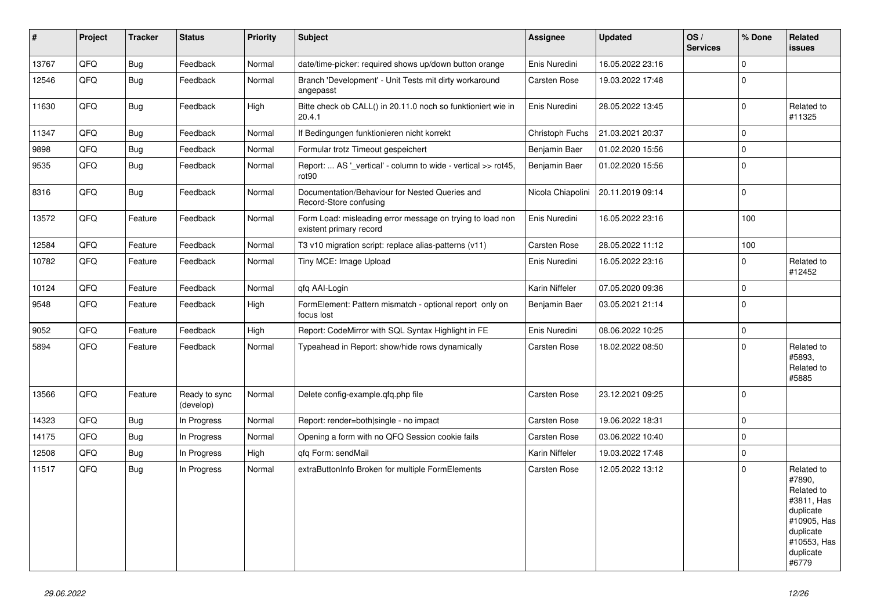| #     | Project | <b>Tracker</b> | <b>Status</b>              | <b>Priority</b> | <b>Subject</b>                                                                       | Assignee            | <b>Updated</b>   | OS/<br><b>Services</b> | % Done         | Related<br><b>issues</b>                                                                                                       |
|-------|---------|----------------|----------------------------|-----------------|--------------------------------------------------------------------------------------|---------------------|------------------|------------------------|----------------|--------------------------------------------------------------------------------------------------------------------------------|
| 13767 | QFQ     | <b>Bug</b>     | Feedback                   | Normal          | date/time-picker: required shows up/down button orange                               | Enis Nuredini       | 16.05.2022 23:16 |                        | $\mathbf 0$    |                                                                                                                                |
| 12546 | QFQ     | <b>Bug</b>     | Feedback                   | Normal          | Branch 'Development' - Unit Tests mit dirty workaround<br>angepasst                  | Carsten Rose        | 19.03.2022 17:48 |                        | $\Omega$       |                                                                                                                                |
| 11630 | QFQ     | <b>Bug</b>     | Feedback                   | High            | Bitte check ob CALL() in 20.11.0 noch so funktioniert wie in<br>20.4.1               | Enis Nuredini       | 28.05.2022 13:45 |                        | 0 l            | Related to<br>#11325                                                                                                           |
| 11347 | QFQ     | <b>Bug</b>     | Feedback                   | Normal          | If Bedingungen funktionieren nicht korrekt                                           | Christoph Fuchs     | 21.03.2021 20:37 |                        | $\Omega$       |                                                                                                                                |
| 9898  | QFQ     | <b>Bug</b>     | Feedback                   | Normal          | Formular trotz Timeout gespeichert                                                   | Benjamin Baer       | 01.02.2020 15:56 |                        | $\Omega$       |                                                                                                                                |
| 9535  | QFQ     | <b>Bug</b>     | Feedback                   | Normal          | Report:  AS '_vertical' - column to wide - vertical >> rot45,<br>rot <sub>90</sub>   | Benjamin Baer       | 01.02.2020 15:56 |                        | $\overline{0}$ |                                                                                                                                |
| 8316  | QFQ     | <b>Bug</b>     | Feedback                   | Normal          | Documentation/Behaviour for Nested Queries and<br>Record-Store confusing             | Nicola Chiapolini   | 20.11.2019 09:14 |                        | $\mathbf 0$    |                                                                                                                                |
| 13572 | QFQ     | Feature        | Feedback                   | Normal          | Form Load: misleading error message on trying to load non<br>existent primary record | Enis Nuredini       | 16.05.2022 23:16 |                        | 100            |                                                                                                                                |
| 12584 | QFQ     | Feature        | Feedback                   | Normal          | T3 v10 migration script: replace alias-patterns (v11)                                | Carsten Rose        | 28.05.2022 11:12 |                        | 100            |                                                                                                                                |
| 10782 | QFQ     | Feature        | Feedback                   | Normal          | Tiny MCE: Image Upload                                                               | Enis Nuredini       | 16.05.2022 23:16 |                        | $\mathbf 0$    | Related to<br>#12452                                                                                                           |
| 10124 | QFQ     | Feature        | Feedback                   | Normal          | qfq AAI-Login                                                                        | Karin Niffeler      | 07.05.2020 09:36 |                        | $\Omega$       |                                                                                                                                |
| 9548  | QFQ     | Feature        | Feedback                   | High            | FormElement: Pattern mismatch - optional report only on<br>focus lost                | Benjamin Baer       | 03.05.2021 21:14 |                        | l 0            |                                                                                                                                |
| 9052  | QFQ     | Feature        | Feedback                   | High            | Report: CodeMirror with SQL Syntax Highlight in FE                                   | Enis Nuredini       | 08.06.2022 10:25 |                        | $\overline{0}$ |                                                                                                                                |
| 5894  | QFQ     | Feature        | Feedback                   | Normal          | Typeahead in Report: show/hide rows dynamically                                      | Carsten Rose        | 18.02.2022 08:50 |                        | $\Omega$       | Related to<br>#5893.<br>Related to<br>#5885                                                                                    |
| 13566 | QFQ     | Feature        | Ready to sync<br>(develop) | Normal          | Delete config-example.qfq.php file                                                   | Carsten Rose        | 23.12.2021 09:25 |                        | 0 I            |                                                                                                                                |
| 14323 | QFQ     | <b>Bug</b>     | In Progress                | Normal          | Report: render=both single - no impact                                               | Carsten Rose        | 19.06.2022 18:31 |                        | $\mathbf 0$    |                                                                                                                                |
| 14175 | QFQ     | <b>Bug</b>     | In Progress                | Normal          | Opening a form with no QFQ Session cookie fails                                      | Carsten Rose        | 03.06.2022 10:40 |                        | $\mathbf 0$    |                                                                                                                                |
| 12508 | QFQ     | <b>Bug</b>     | In Progress                | High            | qfq Form: sendMail                                                                   | Karin Niffeler      | 19.03.2022 17:48 |                        | $\Omega$       |                                                                                                                                |
| 11517 | QFQ     | <b>Bug</b>     | In Progress                | Normal          | extraButtonInfo Broken for multiple FormElements                                     | <b>Carsten Rose</b> | 12.05.2022 13:12 |                        | $\Omega$       | Related to<br>#7890,<br>Related to<br>#3811, Has<br>duplicate<br>#10905, Has<br>duplicate<br>#10553, Has<br>duplicate<br>#6779 |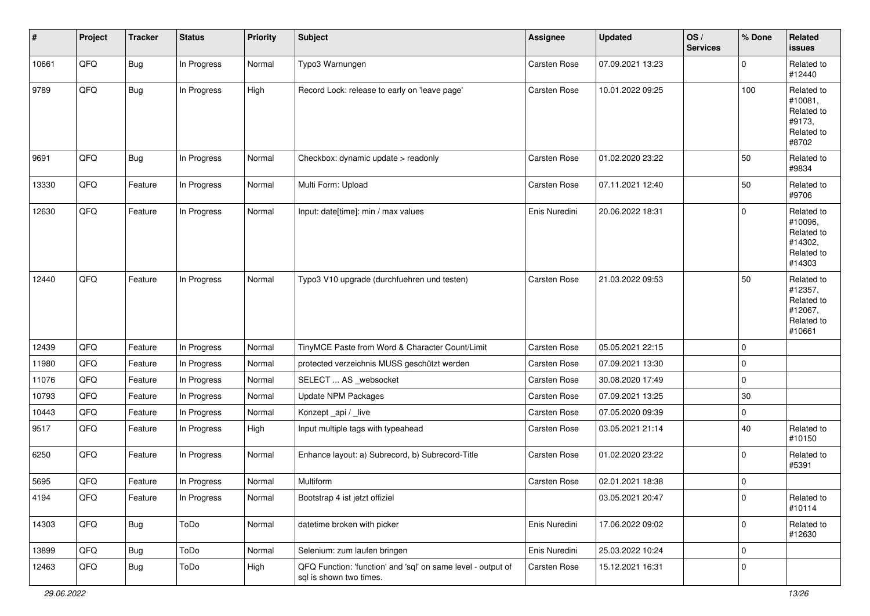| #     | Project | <b>Tracker</b> | <b>Status</b> | <b>Priority</b> | <b>Subject</b>                                                                          | <b>Assignee</b>     | <b>Updated</b>   | OS/<br><b>Services</b> | % Done      | Related<br><b>issues</b>                                               |
|-------|---------|----------------|---------------|-----------------|-----------------------------------------------------------------------------------------|---------------------|------------------|------------------------|-------------|------------------------------------------------------------------------|
| 10661 | QFQ     | Bug            | In Progress   | Normal          | Typo3 Warnungen                                                                         | Carsten Rose        | 07.09.2021 13:23 |                        | $\Omega$    | Related to<br>#12440                                                   |
| 9789  | QFQ     | <b>Bug</b>     | In Progress   | High            | Record Lock: release to early on 'leave page'                                           | Carsten Rose        | 10.01.2022 09:25 |                        | 100         | Related to<br>#10081,<br>Related to<br>#9173,<br>Related to<br>#8702   |
| 9691  | QFQ     | <b>Bug</b>     | In Progress   | Normal          | Checkbox: dynamic update > readonly                                                     | <b>Carsten Rose</b> | 01.02.2020 23:22 |                        | 50          | Related to<br>#9834                                                    |
| 13330 | QFQ     | Feature        | In Progress   | Normal          | Multi Form: Upload                                                                      | Carsten Rose        | 07.11.2021 12:40 |                        | 50          | Related to<br>#9706                                                    |
| 12630 | QFQ     | Feature        | In Progress   | Normal          | Input: date[time]: min / max values                                                     | Enis Nuredini       | 20.06.2022 18:31 |                        | $\mathbf 0$ | Related to<br>#10096,<br>Related to<br>#14302,<br>Related to<br>#14303 |
| 12440 | QFQ     | Feature        | In Progress   | Normal          | Typo3 V10 upgrade (durchfuehren und testen)                                             | <b>Carsten Rose</b> | 21.03.2022 09:53 |                        | 50          | Related to<br>#12357,<br>Related to<br>#12067,<br>Related to<br>#10661 |
| 12439 | QFQ     | Feature        | In Progress   | Normal          | TinyMCE Paste from Word & Character Count/Limit                                         | Carsten Rose        | 05.05.2021 22:15 |                        | $\mathbf 0$ |                                                                        |
| 11980 | QFQ     | Feature        | In Progress   | Normal          | protected verzeichnis MUSS geschützt werden                                             | Carsten Rose        | 07.09.2021 13:30 |                        | $\mathbf 0$ |                                                                        |
| 11076 | QFQ     | Feature        | In Progress   | Normal          | SELECT  AS _websocket                                                                   | <b>Carsten Rose</b> | 30.08.2020 17:49 |                        | $\mathbf 0$ |                                                                        |
| 10793 | QFQ     | Feature        | In Progress   | Normal          | Update NPM Packages                                                                     | Carsten Rose        | 07.09.2021 13:25 |                        | 30          |                                                                        |
| 10443 | QFQ     | Feature        | In Progress   | Normal          | Konzept_api / _live                                                                     | <b>Carsten Rose</b> | 07.05.2020 09:39 |                        | $\mathbf 0$ |                                                                        |
| 9517  | QFQ     | Feature        | In Progress   | High            | Input multiple tags with typeahead                                                      | Carsten Rose        | 03.05.2021 21:14 |                        | 40          | Related to<br>#10150                                                   |
| 6250  | QFQ     | Feature        | In Progress   | Normal          | Enhance layout: a) Subrecord, b) Subrecord-Title                                        | Carsten Rose        | 01.02.2020 23:22 |                        | $\mathbf 0$ | Related to<br>#5391                                                    |
| 5695  | QFQ     | Feature        | In Progress   | Normal          | Multiform                                                                               | Carsten Rose        | 02.01.2021 18:38 |                        | $\mathbf 0$ |                                                                        |
| 4194  | QFQ     | Feature        | In Progress   | Normal          | Bootstrap 4 ist jetzt offiziel                                                          |                     | 03.05.2021 20:47 |                        | 0           | Related to<br>#10114                                                   |
| 14303 | QFQ     | Bug            | ToDo          | Normal          | datetime broken with picker                                                             | Enis Nuredini       | 17.06.2022 09:02 |                        | $\mathbf 0$ | Related to<br>#12630                                                   |
| 13899 | QFG     | <b>Bug</b>     | ToDo          | Normal          | Selenium: zum laufen bringen                                                            | Enis Nuredini       | 25.03.2022 10:24 |                        | $\mathbf 0$ |                                                                        |
| 12463 | QFQ     | <b>Bug</b>     | ToDo          | High            | QFQ Function: 'function' and 'sql' on same level - output of<br>sql is shown two times. | Carsten Rose        | 15.12.2021 16:31 |                        | 0           |                                                                        |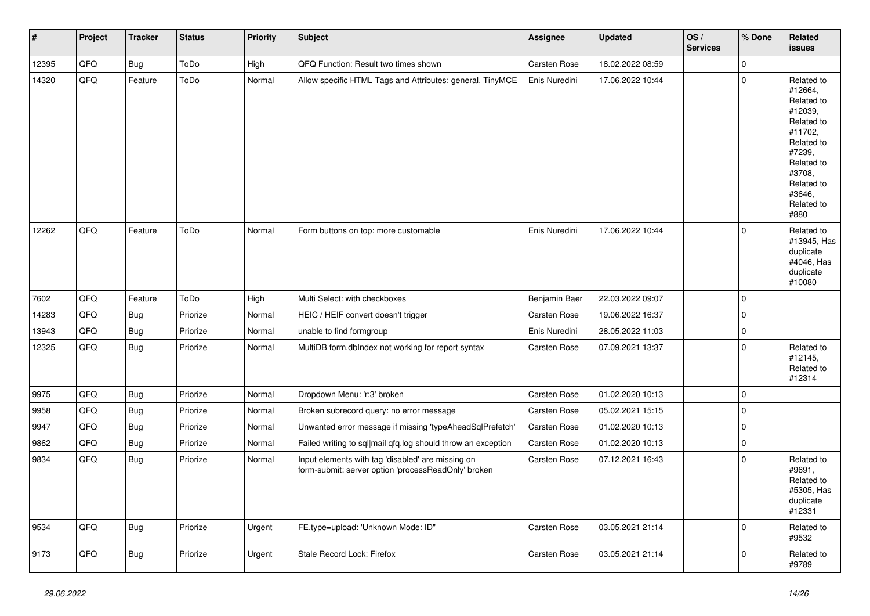| #     | Project | <b>Tracker</b> | <b>Status</b> | <b>Priority</b> | <b>Subject</b>                                                                                           | Assignee            | <b>Updated</b>   | OS/<br><b>Services</b> | % Done      | Related<br>issues                                                                                                                                                     |
|-------|---------|----------------|---------------|-----------------|----------------------------------------------------------------------------------------------------------|---------------------|------------------|------------------------|-------------|-----------------------------------------------------------------------------------------------------------------------------------------------------------------------|
| 12395 | QFQ     | <b>Bug</b>     | ToDo          | High            | QFQ Function: Result two times shown                                                                     | Carsten Rose        | 18.02.2022 08:59 |                        | $\Omega$    |                                                                                                                                                                       |
| 14320 | QFQ     | Feature        | ToDo          | Normal          | Allow specific HTML Tags and Attributes: general, TinyMCE                                                | Enis Nuredini       | 17.06.2022 10:44 |                        | $\mathbf 0$ | Related to<br>#12664,<br>Related to<br>#12039,<br>Related to<br>#11702.<br>Related to<br>#7239,<br>Related to<br>#3708,<br>Related to<br>#3646.<br>Related to<br>#880 |
| 12262 | QFQ     | Feature        | ToDo          | Normal          | Form buttons on top: more customable                                                                     | Enis Nuredini       | 17.06.2022 10:44 |                        | $\Omega$    | Related to<br>#13945, Has<br>duplicate<br>#4046, Has<br>duplicate<br>#10080                                                                                           |
| 7602  | QFQ     | Feature        | ToDo          | High            | Multi Select: with checkboxes                                                                            | Benjamin Baer       | 22.03.2022 09:07 |                        | $\mathbf 0$ |                                                                                                                                                                       |
| 14283 | QFQ     | <b>Bug</b>     | Priorize      | Normal          | HEIC / HEIF convert doesn't trigger                                                                      | <b>Carsten Rose</b> | 19.06.2022 16:37 |                        | $\mathbf 0$ |                                                                                                                                                                       |
| 13943 | QFQ     | <b>Bug</b>     | Priorize      | Normal          | unable to find formgroup                                                                                 | Enis Nuredini       | 28.05.2022 11:03 |                        | $\pmb{0}$   |                                                                                                                                                                       |
| 12325 | QFQ     | <b>Bug</b>     | Priorize      | Normal          | MultiDB form.dblndex not working for report syntax                                                       | Carsten Rose        | 07.09.2021 13:37 |                        | $\mathbf 0$ | Related to<br>#12145,<br>Related to<br>#12314                                                                                                                         |
| 9975  | QFQ     | <b>Bug</b>     | Priorize      | Normal          | Dropdown Menu: 'r:3' broken                                                                              | Carsten Rose        | 01.02.2020 10:13 |                        | $\mathsf 0$ |                                                                                                                                                                       |
| 9958  | QFQ     | <b>Bug</b>     | Priorize      | Normal          | Broken subrecord query: no error message                                                                 | Carsten Rose        | 05.02.2021 15:15 |                        | $\mathbf 0$ |                                                                                                                                                                       |
| 9947  | QFQ     | <b>Bug</b>     | Priorize      | Normal          | Unwanted error message if missing 'typeAheadSqlPrefetch'                                                 | Carsten Rose        | 01.02.2020 10:13 |                        | $\pmb{0}$   |                                                                                                                                                                       |
| 9862  | QFQ     | Bug            | Priorize      | Normal          | Failed writing to sql mail qfq.log should throw an exception                                             | Carsten Rose        | 01.02.2020 10:13 |                        | $\mathbf 0$ |                                                                                                                                                                       |
| 9834  | QFQ     | Bug            | Priorize      | Normal          | Input elements with tag 'disabled' are missing on<br>form-submit: server option 'processReadOnly' broken | Carsten Rose        | 07.12.2021 16:43 |                        | $\mathbf 0$ | Related to<br>#9691,<br>Related to<br>#5305, Has<br>duplicate<br>#12331                                                                                               |
| 9534  | QFQ     | Bug            | Priorize      | Urgent          | FE.type=upload: 'Unknown Mode: ID"                                                                       | Carsten Rose        | 03.05.2021 21:14 |                        | $\mathbf 0$ | Related to<br>#9532                                                                                                                                                   |
| 9173  | QFQ     | Bug            | Priorize      | Urgent          | Stale Record Lock: Firefox                                                                               | Carsten Rose        | 03.05.2021 21:14 |                        | $\mathbf 0$ | Related to<br>#9789                                                                                                                                                   |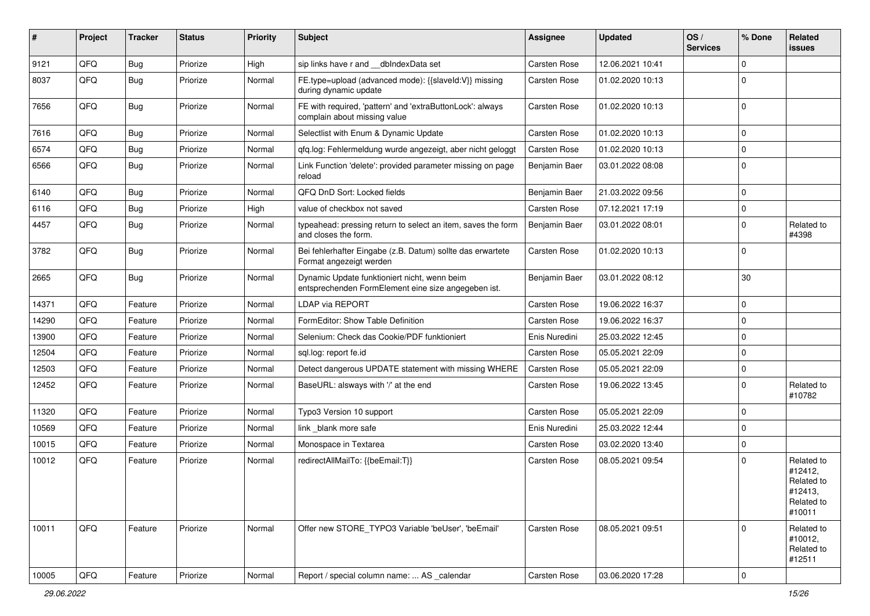| #     | Project | <b>Tracker</b> | <b>Status</b> | <b>Priority</b> | Subject                                                                                             | Assignee             | <b>Updated</b>   | OS/<br><b>Services</b> | % Done         | Related<br>issues                                                      |
|-------|---------|----------------|---------------|-----------------|-----------------------------------------------------------------------------------------------------|----------------------|------------------|------------------------|----------------|------------------------------------------------------------------------|
| 9121  | QFQ     | Bug            | Priorize      | High            | sip links have r and __dblndexData set                                                              | Carsten Rose         | 12.06.2021 10:41 |                        | $\Omega$       |                                                                        |
| 8037  | QFQ     | Bug            | Priorize      | Normal          | FE.type=upload (advanced mode): {{slaveld:V}} missing<br>during dynamic update                      | Carsten Rose         | 01.02.2020 10:13 |                        | $\Omega$       |                                                                        |
| 7656  | QFQ     | Bug            | Priorize      | Normal          | FE with required, 'pattern' and 'extraButtonLock': always<br>complain about missing value           | Carsten Rose         | 01.02.2020 10:13 |                        | $\Omega$       |                                                                        |
| 7616  | QFQ     | <b>Bug</b>     | Priorize      | Normal          | Selectlist with Enum & Dynamic Update                                                               | Carsten Rose         | 01.02.2020 10:13 |                        | $\overline{0}$ |                                                                        |
| 6574  | QFQ     | Bug            | Priorize      | Normal          | qfq.log: Fehlermeldung wurde angezeigt, aber nicht geloggt                                          | Carsten Rose         | 01.02.2020 10:13 |                        | $\Omega$       |                                                                        |
| 6566  | QFQ     | Bug            | Priorize      | Normal          | Link Function 'delete': provided parameter missing on page<br>reload                                | <b>Benjamin Baer</b> | 03.01.2022 08:08 |                        | $\Omega$       |                                                                        |
| 6140  | QFQ     | Bug            | Priorize      | Normal          | QFQ DnD Sort: Locked fields                                                                         | Benjamin Baer        | 21.03.2022 09:56 |                        | $\Omega$       |                                                                        |
| 6116  | QFQ     | <b>Bug</b>     | Priorize      | High            | value of checkbox not saved                                                                         | Carsten Rose         | 07.12.2021 17:19 |                        | $\Omega$       |                                                                        |
| 4457  | QFQ     | <b>Bug</b>     | Priorize      | Normal          | typeahead: pressing return to select an item, saves the form<br>and closes the form.                | Benjamin Baer        | 03.01.2022 08:01 |                        | $\Omega$       | Related to<br>#4398                                                    |
| 3782  | QFQ     | Bug            | Priorize      | Normal          | Bei fehlerhafter Eingabe (z.B. Datum) sollte das erwartete<br>Format angezeigt werden               | Carsten Rose         | 01.02.2020 10:13 |                        | $\Omega$       |                                                                        |
| 2665  | QFQ     | Bug            | Priorize      | Normal          | Dynamic Update funktioniert nicht, wenn beim<br>entsprechenden FormElement eine size angegeben ist. | Benjamin Baer        | 03.01.2022 08:12 |                        | 30             |                                                                        |
| 14371 | QFQ     | Feature        | Priorize      | Normal          | <b>LDAP via REPORT</b>                                                                              | Carsten Rose         | 19.06.2022 16:37 |                        | $\mathbf 0$    |                                                                        |
| 14290 | QFQ     | Feature        | Priorize      | Normal          | FormEditor: Show Table Definition                                                                   | Carsten Rose         | 19.06.2022 16:37 |                        | $\Omega$       |                                                                        |
| 13900 | QFQ     | Feature        | Priorize      | Normal          | Selenium: Check das Cookie/PDF funktioniert                                                         | Enis Nuredini        | 25.03.2022 12:45 |                        | $\Omega$       |                                                                        |
| 12504 | QFQ     | Feature        | Priorize      | Normal          | sql.log: report fe.id                                                                               | Carsten Rose         | 05.05.2021 22:09 |                        | $\Omega$       |                                                                        |
| 12503 | QFQ     | Feature        | Priorize      | Normal          | Detect dangerous UPDATE statement with missing WHERE                                                | Carsten Rose         | 05.05.2021 22:09 |                        | $\mathbf 0$    |                                                                        |
| 12452 | QFQ     | Feature        | Priorize      | Normal          | BaseURL: alsways with '/' at the end                                                                | Carsten Rose         | 19.06.2022 13:45 |                        | $\Omega$       | Related to<br>#10782                                                   |
| 11320 | QFQ     | Feature        | Priorize      | Normal          | Typo3 Version 10 support                                                                            | Carsten Rose         | 05.05.2021 22:09 |                        | $\Omega$       |                                                                        |
| 10569 | QFQ     | Feature        | Priorize      | Normal          | link blank more safe                                                                                | Enis Nuredini        | 25.03.2022 12:44 |                        | 0              |                                                                        |
| 10015 | QFQ     | Feature        | Priorize      | Normal          | Monospace in Textarea                                                                               | Carsten Rose         | 03.02.2020 13:40 |                        | $\Omega$       |                                                                        |
| 10012 | QFQ     | Feature        | Priorize      | Normal          | redirectAllMailTo: {{beEmail:T}}                                                                    | Carsten Rose         | 08.05.2021 09:54 |                        | $\Omega$       | Related to<br>#12412,<br>Related to<br>#12413,<br>Related to<br>#10011 |
| 10011 | QFQ     | Feature        | Priorize      | Normal          | Offer new STORE TYPO3 Variable 'beUser', 'beEmail'                                                  | Carsten Rose         | 08.05.2021 09:51 |                        | $\Omega$       | Related to<br>#10012,<br>Related to<br>#12511                          |
| 10005 | QFG     | Feature        | Priorize      | Normal          | Report / special column name:  AS _calendar                                                         | Carsten Rose         | 03.06.2020 17:28 |                        | 0              |                                                                        |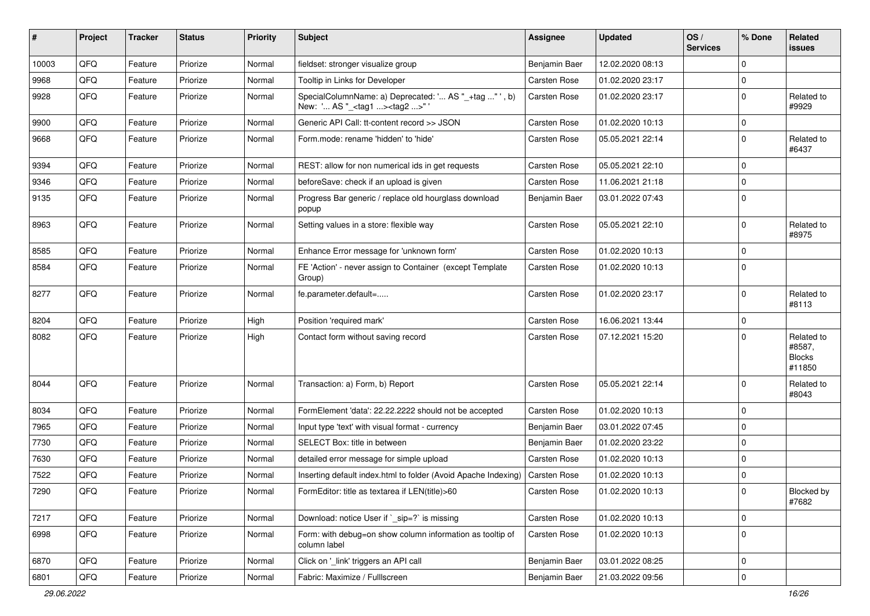| #     | Project | <b>Tracker</b> | <b>Status</b> | <b>Priority</b> | <b>Subject</b>                                                                                    | <b>Assignee</b>     | <b>Updated</b>   | OS/<br><b>Services</b> | % Done      | Related<br><b>issues</b>                        |
|-------|---------|----------------|---------------|-----------------|---------------------------------------------------------------------------------------------------|---------------------|------------------|------------------------|-------------|-------------------------------------------------|
| 10003 | QFQ     | Feature        | Priorize      | Normal          | fieldset: stronger visualize group                                                                | Benjamin Baer       | 12.02.2020 08:13 |                        | $\Omega$    |                                                 |
| 9968  | QFQ     | Feature        | Priorize      | Normal          | Tooltip in Links for Developer                                                                    | Carsten Rose        | 01.02.2020 23:17 |                        | 0           |                                                 |
| 9928  | QFQ     | Feature        | Priorize      | Normal          | SpecialColumnName: a) Deprecated: ' AS "_+tag " ', b)<br>New: ' AS "_ <tag1><tag2>"</tag2></tag1> | Carsten Rose        | 01.02.2020 23:17 |                        | $\Omega$    | Related to<br>#9929                             |
| 9900  | QFQ     | Feature        | Priorize      | Normal          | Generic API Call: tt-content record >> JSON                                                       | <b>Carsten Rose</b> | 01.02.2020 10:13 |                        | $\Omega$    |                                                 |
| 9668  | QFQ     | Feature        | Priorize      | Normal          | Form.mode: rename 'hidden' to 'hide'                                                              | Carsten Rose        | 05.05.2021 22:14 |                        | $\Omega$    | Related to<br>#6437                             |
| 9394  | QFQ     | Feature        | Priorize      | Normal          | REST: allow for non numerical ids in get requests                                                 | <b>Carsten Rose</b> | 05.05.2021 22:10 |                        | 0           |                                                 |
| 9346  | QFQ     | Feature        | Priorize      | Normal          | beforeSave: check if an upload is given                                                           | <b>Carsten Rose</b> | 11.06.2021 21:18 |                        | $\Omega$    |                                                 |
| 9135  | QFQ     | Feature        | Priorize      | Normal          | Progress Bar generic / replace old hourglass download<br>popup                                    | Benjamin Baer       | 03.01.2022 07:43 |                        | $\Omega$    |                                                 |
| 8963  | QFQ     | Feature        | Priorize      | Normal          | Setting values in a store: flexible way                                                           | Carsten Rose        | 05.05.2021 22:10 |                        | $\Omega$    | Related to<br>#8975                             |
| 8585  | QFQ     | Feature        | Priorize      | Normal          | Enhance Error message for 'unknown form'                                                          | Carsten Rose        | 01.02.2020 10:13 |                        | $\Omega$    |                                                 |
| 8584  | QFQ     | Feature        | Priorize      | Normal          | FE 'Action' - never assign to Container (except Template<br>Group)                                | Carsten Rose        | 01.02.2020 10:13 |                        | $\Omega$    |                                                 |
| 8277  | QFQ     | Feature        | Priorize      | Normal          | fe.parameter.default=                                                                             | <b>Carsten Rose</b> | 01.02.2020 23:17 |                        | $\Omega$    | Related to<br>#8113                             |
| 8204  | QFQ     | Feature        | Priorize      | High            | Position 'required mark'                                                                          | <b>Carsten Rose</b> | 16.06.2021 13:44 |                        | $\Omega$    |                                                 |
| 8082  | QFQ     | Feature        | Priorize      | High            | Contact form without saving record                                                                | Carsten Rose        | 07.12.2021 15:20 |                        | $\Omega$    | Related to<br>#8587,<br><b>Blocks</b><br>#11850 |
| 8044  | QFQ     | Feature        | Priorize      | Normal          | Transaction: a) Form, b) Report                                                                   | Carsten Rose        | 05.05.2021 22:14 |                        | $\Omega$    | Related to<br>#8043                             |
| 8034  | QFQ     | Feature        | Priorize      | Normal          | FormElement 'data': 22.22.2222 should not be accepted                                             | Carsten Rose        | 01.02.2020 10:13 |                        | $\Omega$    |                                                 |
| 7965  | QFQ     | Feature        | Priorize      | Normal          | Input type 'text' with visual format - currency                                                   | Benjamin Baer       | 03.01.2022 07:45 |                        | 0           |                                                 |
| 7730  | QFQ     | Feature        | Priorize      | Normal          | SELECT Box: title in between                                                                      | Benjamin Baer       | 01.02.2020 23:22 |                        | $\Omega$    |                                                 |
| 7630  | QFQ     | Feature        | Priorize      | Normal          | detailed error message for simple upload                                                          | <b>Carsten Rose</b> | 01.02.2020 10:13 |                        | $\mathbf 0$ |                                                 |
| 7522  | QFQ     | Feature        | Priorize      | Normal          | Inserting default index.html to folder (Avoid Apache Indexing)                                    | <b>Carsten Rose</b> | 01.02.2020 10:13 |                        | $\Omega$    |                                                 |
| 7290  | QFQ     | Feature        | Priorize      | Normal          | FormEditor: title as textarea if LEN(title)>60                                                    | Carsten Rose        | 01.02.2020 10:13 |                        | 0           | Blocked by<br>#7682                             |
| 7217  | QFQ     | Feature        | Priorize      | Normal          | Download: notice User if `_sip=?` is missing                                                      | Carsten Rose        | 01.02.2020 10:13 |                        | 0           |                                                 |
| 6998  | QFQ     | Feature        | Priorize      | Normal          | Form: with debug=on show column information as tooltip of<br>column label                         | Carsten Rose        | 01.02.2020 10:13 |                        | $\Omega$    |                                                 |
| 6870  | QFQ     | Feature        | Priorize      | Normal          | Click on '_link' triggers an API call                                                             | Benjamin Baer       | 03.01.2022 08:25 |                        | 0           |                                                 |
| 6801  | QFQ     | Feature        | Priorize      | Normal          | Fabric: Maximize / FullIscreen                                                                    | Benjamin Baer       | 21.03.2022 09:56 |                        | 0           |                                                 |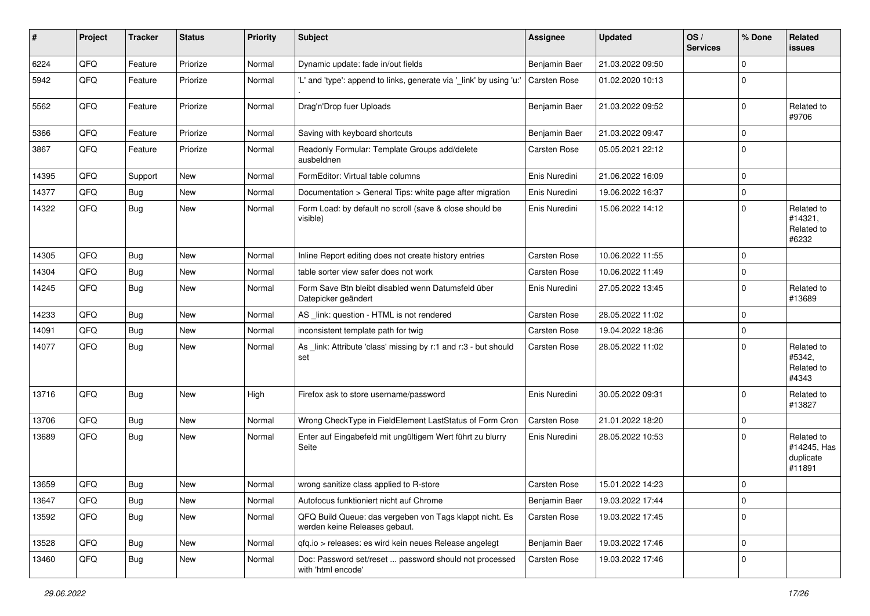| #     | Project | <b>Tracker</b> | <b>Status</b> | <b>Priority</b> | <b>Subject</b>                                                                           | <b>Assignee</b>     | <b>Updated</b>   | OS/<br><b>Services</b> | % Done      | Related<br>issues                                |
|-------|---------|----------------|---------------|-----------------|------------------------------------------------------------------------------------------|---------------------|------------------|------------------------|-------------|--------------------------------------------------|
| 6224  | QFQ     | Feature        | Priorize      | Normal          | Dynamic update: fade in/out fields                                                       | Benjamin Baer       | 21.03.2022 09:50 |                        | $\Omega$    |                                                  |
| 5942  | QFQ     | Feature        | Priorize      | Normal          | 'L' and 'type': append to links, generate via '_link' by using 'u:                       | <b>Carsten Rose</b> | 01.02.2020 10:13 |                        | 0           |                                                  |
| 5562  | QFQ     | Feature        | Priorize      | Normal          | Drag'n'Drop fuer Uploads                                                                 | Benjamin Baer       | 21.03.2022 09:52 |                        | $\Omega$    | Related to<br>#9706                              |
| 5366  | QFQ     | Feature        | Priorize      | Normal          | Saving with keyboard shortcuts                                                           | Benjamin Baer       | 21.03.2022 09:47 |                        | $\mathbf 0$ |                                                  |
| 3867  | QFQ     | Feature        | Priorize      | Normal          | Readonly Formular: Template Groups add/delete<br>ausbeldnen                              | Carsten Rose        | 05.05.2021 22:12 |                        | $\mathbf 0$ |                                                  |
| 14395 | QFQ     | Support        | <b>New</b>    | Normal          | FormEditor: Virtual table columns                                                        | Enis Nuredini       | 21.06.2022 16:09 |                        | $\mathbf 0$ |                                                  |
| 14377 | QFQ     | <b>Bug</b>     | New           | Normal          | Documentation > General Tips: white page after migration                                 | Enis Nuredini       | 19.06.2022 16:37 |                        | $\Omega$    |                                                  |
| 14322 | QFQ     | Bug            | <b>New</b>    | Normal          | Form Load: by default no scroll (save & close should be<br>visible)                      | Enis Nuredini       | 15.06.2022 14:12 |                        | $\Omega$    | Related to<br>#14321,<br>Related to<br>#6232     |
| 14305 | QFQ     | <b>Bug</b>     | <b>New</b>    | Normal          | Inline Report editing does not create history entries                                    | Carsten Rose        | 10.06.2022 11:55 |                        | $\mathbf 0$ |                                                  |
| 14304 | QFQ     | <b>Bug</b>     | New           | Normal          | table sorter view safer does not work                                                    | Carsten Rose        | 10.06.2022 11:49 |                        | $\Omega$    |                                                  |
| 14245 | QFQ     | Bug            | <b>New</b>    | Normal          | Form Save Btn bleibt disabled wenn Datumsfeld über<br>Datepicker geändert                | Enis Nuredini       | 27.05.2022 13:45 |                        | $\Omega$    | Related to<br>#13689                             |
| 14233 | QFQ     | <b>Bug</b>     | <b>New</b>    | Normal          | AS _link: question - HTML is not rendered                                                | Carsten Rose        | 28.05.2022 11:02 |                        | $\Omega$    |                                                  |
| 14091 | QFQ     | Bug            | <b>New</b>    | Normal          | inconsistent template path for twig                                                      | Carsten Rose        | 19.04.2022 18:36 |                        | $\mathbf 0$ |                                                  |
| 14077 | QFQ     | <b>Bug</b>     | New           | Normal          | As _link: Attribute 'class' missing by r:1 and r:3 - but should<br>set                   | Carsten Rose        | 28.05.2022 11:02 |                        | $\Omega$    | Related to<br>#5342,<br>Related to<br>#4343      |
| 13716 | QFQ     | Bug            | <b>New</b>    | High            | Firefox ask to store username/password                                                   | Enis Nuredini       | 30.05.2022 09:31 |                        | $\mathbf 0$ | Related to<br>#13827                             |
| 13706 | QFQ     | Bug            | <b>New</b>    | Normal          | Wrong CheckType in FieldElement LastStatus of Form Cron                                  | <b>Carsten Rose</b> | 21.01.2022 18:20 |                        | $\Omega$    |                                                  |
| 13689 | QFQ     | Bug            | <b>New</b>    | Normal          | Enter auf Eingabefeld mit ungültigem Wert führt zu blurry<br>Seite                       | Enis Nuredini       | 28.05.2022 10:53 |                        | $\Omega$    | Related to<br>#14245, Has<br>duplicate<br>#11891 |
| 13659 | QFQ     | <b>Bug</b>     | <b>New</b>    | Normal          | wrong sanitize class applied to R-store                                                  | <b>Carsten Rose</b> | 15.01.2022 14:23 |                        | 0           |                                                  |
| 13647 | QFO     | <b>Bug</b>     | New           | Normal          | Autofocus funktioniert nicht auf Chrome                                                  | Benjamin Baer       | 19.03.2022 17:44 |                        | $\mathbf 0$ |                                                  |
| 13592 | QFQ     | Bug            | New           | Normal          | QFQ Build Queue: das vergeben von Tags klappt nicht. Es<br>werden keine Releases gebaut. | Carsten Rose        | 19.03.2022 17:45 |                        | $\mathbf 0$ |                                                  |
| 13528 | QFQ     | Bug            | New           | Normal          | qfq.io > releases: es wird kein neues Release angelegt                                   | Benjamin Baer       | 19.03.2022 17:46 |                        | $\mathbf 0$ |                                                  |
| 13460 | QFO     | <b>Bug</b>     | New           | Normal          | Doc: Password set/reset  password should not processed<br>with 'html encode'             | <b>Carsten Rose</b> | 19.03.2022 17:46 |                        | $\mathbf 0$ |                                                  |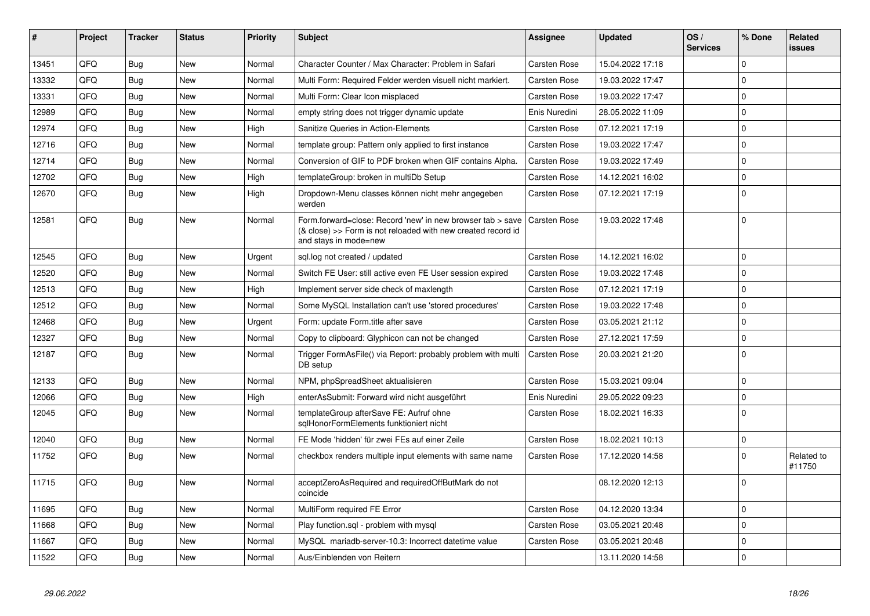| #     | Project | <b>Tracker</b> | <b>Status</b> | <b>Priority</b> | <b>Subject</b>                                                                                                                                      | <b>Assignee</b>     | <b>Updated</b>   | OS/<br><b>Services</b> | % Done      | Related<br><b>issues</b> |
|-------|---------|----------------|---------------|-----------------|-----------------------------------------------------------------------------------------------------------------------------------------------------|---------------------|------------------|------------------------|-------------|--------------------------|
| 13451 | QFQ     | Bug            | New           | Normal          | Character Counter / Max Character: Problem in Safari                                                                                                | <b>Carsten Rose</b> | 15.04.2022 17:18 |                        | $\Omega$    |                          |
| 13332 | QFQ     | Bug            | <b>New</b>    | Normal          | Multi Form: Required Felder werden visuell nicht markiert.                                                                                          | Carsten Rose        | 19.03.2022 17:47 |                        | $\Omega$    |                          |
| 13331 | QFQ     | Bug            | New           | Normal          | Multi Form: Clear Icon misplaced                                                                                                                    | <b>Carsten Rose</b> | 19.03.2022 17:47 |                        | $\Omega$    |                          |
| 12989 | QFQ     | Bug            | New           | Normal          | empty string does not trigger dynamic update                                                                                                        | Enis Nuredini       | 28.05.2022 11:09 |                        | $\Omega$    |                          |
| 12974 | QFQ     | Bug            | New           | High            | Sanitize Queries in Action-Elements                                                                                                                 | <b>Carsten Rose</b> | 07.12.2021 17:19 |                        | $\mathbf 0$ |                          |
| 12716 | QFQ     | <b>Bug</b>     | New           | Normal          | template group: Pattern only applied to first instance                                                                                              | <b>Carsten Rose</b> | 19.03.2022 17:47 |                        | $\Omega$    |                          |
| 12714 | QFQ     | Bug            | New           | Normal          | Conversion of GIF to PDF broken when GIF contains Alpha.                                                                                            | <b>Carsten Rose</b> | 19.03.2022 17:49 |                        | $\Omega$    |                          |
| 12702 | QFQ     | Bug            | New           | High            | templateGroup: broken in multiDb Setup                                                                                                              | Carsten Rose        | 14.12.2021 16:02 |                        | $\mathbf 0$ |                          |
| 12670 | QFQ     | <b>Bug</b>     | New           | High            | Dropdown-Menu classes können nicht mehr angegeben<br>werden                                                                                         | <b>Carsten Rose</b> | 07.12.2021 17:19 |                        | $\mathbf 0$ |                          |
| 12581 | QFQ     | Bug            | New           | Normal          | Form.forward=close: Record 'new' in new browser tab > save<br>(& close) >> Form is not reloaded with new created record id<br>and stays in mode=new | <b>Carsten Rose</b> | 19.03.2022 17:48 |                        | $\Omega$    |                          |
| 12545 | QFQ     | Bug            | <b>New</b>    | Urgent          | sql.log not created / updated                                                                                                                       | Carsten Rose        | 14.12.2021 16:02 |                        | l O         |                          |
| 12520 | QFQ     | Bug            | New           | Normal          | Switch FE User: still active even FE User session expired                                                                                           | Carsten Rose        | 19.03.2022 17:48 |                        | $\mathbf 0$ |                          |
| 12513 | QFQ     | <b>Bug</b>     | New           | High            | Implement server side check of maxlength                                                                                                            | <b>Carsten Rose</b> | 07.12.2021 17:19 |                        | $\Omega$    |                          |
| 12512 | QFQ     | <b>Bug</b>     | <b>New</b>    | Normal          | Some MySQL Installation can't use 'stored procedures'                                                                                               | Carsten Rose        | 19.03.2022 17:48 |                        | $\Omega$    |                          |
| 12468 | QFQ     | Bug            | <b>New</b>    | Urgent          | Form: update Form.title after save                                                                                                                  | Carsten Rose        | 03.05.2021 21:12 |                        | $\Omega$    |                          |
| 12327 | QFQ     | <b>Bug</b>     | New           | Normal          | Copy to clipboard: Glyphicon can not be changed                                                                                                     | Carsten Rose        | 27.12.2021 17:59 |                        | $\mathbf 0$ |                          |
| 12187 | QFQ     | Bug            | <b>New</b>    | Normal          | Trigger FormAsFile() via Report: probably problem with multi<br>DB setup                                                                            | <b>Carsten Rose</b> | 20.03.2021 21:20 |                        | $\Omega$    |                          |
| 12133 | QFQ     | <b>Bug</b>     | <b>New</b>    | Normal          | NPM, phpSpreadSheet aktualisieren                                                                                                                   | Carsten Rose        | 15.03.2021 09:04 |                        | $\Omega$    |                          |
| 12066 | QFQ     | <b>Bug</b>     | <b>New</b>    | High            | enterAsSubmit: Forward wird nicht ausgeführt                                                                                                        | Enis Nuredini       | 29.05.2022 09:23 |                        | l o         |                          |
| 12045 | QFQ     | Bug            | <b>New</b>    | Normal          | templateGroup afterSave FE: Aufruf ohne<br>sglHonorFormElements funktioniert nicht                                                                  | Carsten Rose        | 18.02.2021 16:33 |                        | $\Omega$    |                          |
| 12040 | QFQ     | Bug            | New           | Normal          | FE Mode 'hidden' für zwei FEs auf einer Zeile                                                                                                       | <b>Carsten Rose</b> | 18.02.2021 10:13 |                        | $\mathbf 0$ |                          |
| 11752 | QFQ     | <b>Bug</b>     | New           | Normal          | checkbox renders multiple input elements with same name                                                                                             | <b>Carsten Rose</b> | 17.12.2020 14:58 |                        | $\Omega$    | Related to<br>#11750     |
| 11715 | QFQ     | Bug            | New           | Normal          | acceptZeroAsRequired and requiredOffButMark do not<br>coincide                                                                                      |                     | 08.12.2020 12:13 |                        | $\Omega$    |                          |
| 11695 | QFQ     | <b>Bug</b>     | <b>New</b>    | Normal          | MultiForm required FE Error                                                                                                                         | Carsten Rose        | 04.12.2020 13:34 |                        | $\Omega$    |                          |
| 11668 | QFQ     | Bug            | <b>New</b>    | Normal          | Play function.sgl - problem with mysgl                                                                                                              | Carsten Rose        | 03.05.2021 20:48 |                        | $\Omega$    |                          |
| 11667 | QFQ     | Bug            | New           | Normal          | MySQL mariadb-server-10.3: Incorrect datetime value                                                                                                 | Carsten Rose        | 03.05.2021 20:48 |                        | $\Omega$    |                          |
| 11522 | QFQ     | Bug            | New           | Normal          | Aus/Einblenden von Reitern                                                                                                                          |                     | 13.11.2020 14:58 |                        | $\Omega$    |                          |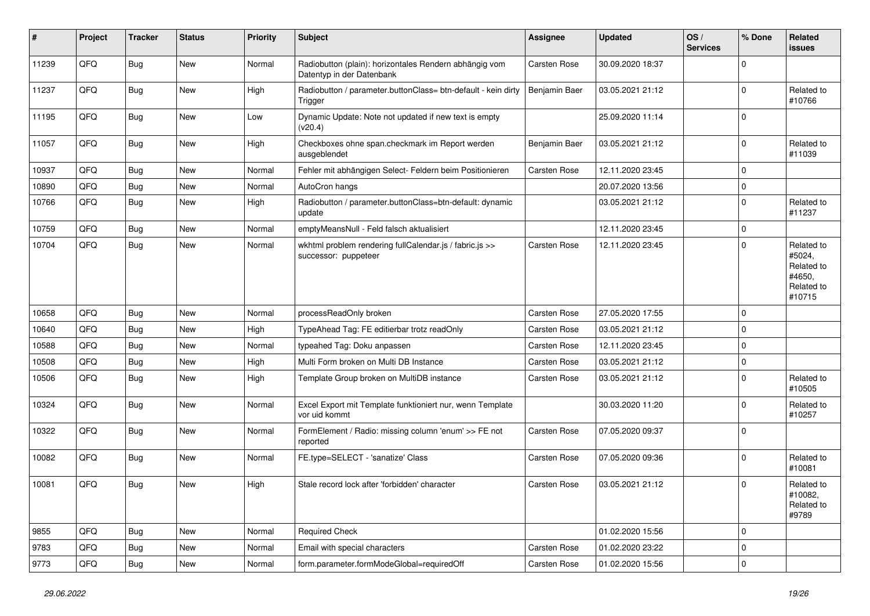| #     | Project | <b>Tracker</b> | <b>Status</b> | <b>Priority</b> | <b>Subject</b>                                                                      | <b>Assignee</b>     | <b>Updated</b>   | OS/<br><b>Services</b> | % Done      | Related<br>issues                                                    |
|-------|---------|----------------|---------------|-----------------|-------------------------------------------------------------------------------------|---------------------|------------------|------------------------|-------------|----------------------------------------------------------------------|
| 11239 | QFQ     | <b>Bug</b>     | <b>New</b>    | Normal          | Radiobutton (plain): horizontales Rendern abhängig vom<br>Datentyp in der Datenbank | Carsten Rose        | 30.09.2020 18:37 |                        | $\Omega$    |                                                                      |
| 11237 | QFQ     | <b>Bug</b>     | New           | High            | Radiobutton / parameter.buttonClass= btn-default - kein dirty<br>Trigger            | Benjamin Baer       | 03.05.2021 21:12 |                        | $\Omega$    | Related to<br>#10766                                                 |
| 11195 | QFQ     | <b>Bug</b>     | New           | Low             | Dynamic Update: Note not updated if new text is empty<br>(v20.4)                    |                     | 25.09.2020 11:14 |                        | $\mathbf 0$ |                                                                      |
| 11057 | QFQ     | <b>Bug</b>     | New           | High            | Checkboxes ohne span.checkmark im Report werden<br>ausgeblendet                     | Benjamin Baer       | 03.05.2021 21:12 |                        | $\mathbf 0$ | Related to<br>#11039                                                 |
| 10937 | QFQ     | <b>Bug</b>     | <b>New</b>    | Normal          | Fehler mit abhängigen Select- Feldern beim Positionieren                            | Carsten Rose        | 12.11.2020 23:45 |                        | $\mathbf 0$ |                                                                      |
| 10890 | QFQ     | <b>Bug</b>     | New           | Normal          | AutoCron hangs                                                                      |                     | 20.07.2020 13:56 |                        | $\mathbf 0$ |                                                                      |
| 10766 | QFQ     | Bug            | New           | High            | Radiobutton / parameter.buttonClass=btn-default: dynamic<br>update                  |                     | 03.05.2021 21:12 |                        | $\Omega$    | Related to<br>#11237                                                 |
| 10759 | QFQ     | <b>Bug</b>     | <b>New</b>    | Normal          | emptyMeansNull - Feld falsch aktualisiert                                           |                     | 12.11.2020 23:45 |                        | $\mathbf 0$ |                                                                      |
| 10704 | QFQ     | <b>Bug</b>     | New           | Normal          | wkhtml problem rendering fullCalendar.js / fabric.js >><br>successor: puppeteer     | <b>Carsten Rose</b> | 12.11.2020 23:45 |                        | l O         | Related to<br>#5024,<br>Related to<br>#4650,<br>Related to<br>#10715 |
| 10658 | QFQ     | <b>Bug</b>     | <b>New</b>    | Normal          | processReadOnly broken                                                              | <b>Carsten Rose</b> | 27.05.2020 17:55 |                        | l O         |                                                                      |
| 10640 | QFQ     | <b>Bug</b>     | New           | High            | TypeAhead Tag: FE editierbar trotz readOnly                                         | Carsten Rose        | 03.05.2021 21:12 |                        | $\mathbf 0$ |                                                                      |
| 10588 | QFQ     | <b>Bug</b>     | New           | Normal          | typeahed Tag: Doku anpassen                                                         | <b>Carsten Rose</b> | 12.11.2020 23:45 |                        | $\Omega$    |                                                                      |
| 10508 | QFQ     | Bug            | New           | High            | Multi Form broken on Multi DB Instance                                              | Carsten Rose        | 03.05.2021 21:12 |                        | $\mathbf 0$ |                                                                      |
| 10506 | QFQ     | <b>Bug</b>     | New           | High            | Template Group broken on MultiDB instance                                           | <b>Carsten Rose</b> | 03.05.2021 21:12 |                        | $\mathbf 0$ | Related to<br>#10505                                                 |
| 10324 | QFQ     | <b>Bug</b>     | New           | Normal          | Excel Export mit Template funktioniert nur, wenn Template<br>vor uid kommt          |                     | 30.03.2020 11:20 |                        | $\Omega$    | Related to<br>#10257                                                 |
| 10322 | QFQ     | Bug            | New           | Normal          | FormElement / Radio: missing column 'enum' >> FE not<br>reported                    | <b>Carsten Rose</b> | 07.05.2020 09:37 |                        | l O         |                                                                      |
| 10082 | QFQ     | <b>Bug</b>     | New           | Normal          | FE.type=SELECT - 'sanatize' Class                                                   | Carsten Rose        | 07.05.2020 09:36 |                        | $\Omega$    | Related to<br>#10081                                                 |
| 10081 | QFQ     | <b>Bug</b>     | New           | High            | Stale record lock after 'forbidden' character                                       | Carsten Rose        | 03.05.2021 21:12 |                        | $\Omega$    | Related to<br>#10082,<br>Related to<br>#9789                         |
| 9855  | QFQ     | Bug            | New           | Normal          | <b>Required Check</b>                                                               |                     | 01.02.2020 15:56 |                        | $\Omega$    |                                                                      |
| 9783  | QFQ     | Bug            | New           | Normal          | Email with special characters                                                       | Carsten Rose        | 01.02.2020 23:22 |                        | l O         |                                                                      |
| 9773  | QFQ     | <b>Bug</b>     | New           | Normal          | form.parameter.formModeGlobal=requiredOff                                           | Carsten Rose        | 01.02.2020 15:56 |                        | $\mathbf 0$ |                                                                      |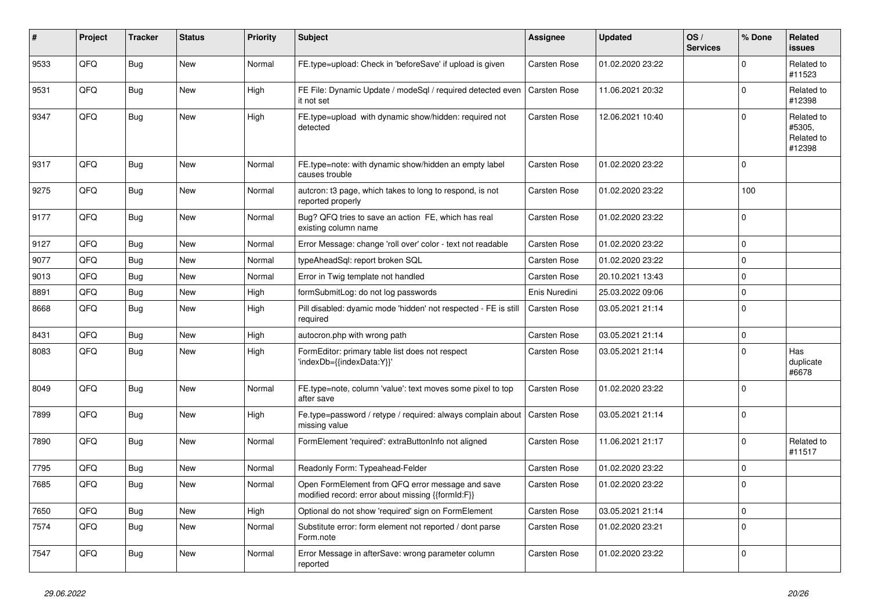| $\sharp$ | Project | <b>Tracker</b> | <b>Status</b> | <b>Priority</b> | <b>Subject</b>                                                                                        | <b>Assignee</b>     | <b>Updated</b>   | OS/<br><b>Services</b> | % Done      | Related<br>issues                            |
|----------|---------|----------------|---------------|-----------------|-------------------------------------------------------------------------------------------------------|---------------------|------------------|------------------------|-------------|----------------------------------------------|
| 9533     | QFQ     | <b>Bug</b>     | New           | Normal          | FE.type=upload: Check in 'beforeSave' if upload is given                                              | <b>Carsten Rose</b> | 01.02.2020 23:22 |                        | 0           | Related to<br>#11523                         |
| 9531     | QFQ     | <b>Bug</b>     | New           | High            | FE File: Dynamic Update / modeSql / required detected even<br>it not set                              | Carsten Rose        | 11.06.2021 20:32 |                        | $\Omega$    | Related to<br>#12398                         |
| 9347     | QFQ     | <b>Bug</b>     | New           | High            | FE.type=upload with dynamic show/hidden: required not<br>detected                                     | Carsten Rose        | 12.06.2021 10:40 |                        | U           | Related to<br>#5305,<br>Related to<br>#12398 |
| 9317     | QFQ     | <b>Bug</b>     | New           | Normal          | FE.type=note: with dynamic show/hidden an empty label<br>causes trouble                               | <b>Carsten Rose</b> | 01.02.2020 23:22 |                        | 0           |                                              |
| 9275     | QFQ     | <b>Bug</b>     | <b>New</b>    | Normal          | autcron: t3 page, which takes to long to respond, is not<br>reported properly                         | Carsten Rose        | 01.02.2020 23:22 |                        | 100         |                                              |
| 9177     | QFQ     | <b>Bug</b>     | New           | Normal          | Bug? QFQ tries to save an action FE, which has real<br>existing column name                           | Carsten Rose        | 01.02.2020 23:22 |                        | $\Omega$    |                                              |
| 9127     | QFQ     | <b>Bug</b>     | New           | Normal          | Error Message: change 'roll over' color - text not readable                                           | <b>Carsten Rose</b> | 01.02.2020 23:22 |                        | $\mathbf 0$ |                                              |
| 9077     | QFQ     | <b>Bug</b>     | New           | Normal          | typeAheadSql: report broken SQL                                                                       | <b>Carsten Rose</b> | 01.02.2020 23:22 |                        | 0           |                                              |
| 9013     | QFQ     | <b>Bug</b>     | New           | Normal          | Error in Twig template not handled                                                                    | <b>Carsten Rose</b> | 20.10.2021 13:43 |                        | $\Omega$    |                                              |
| 8891     | QFQ     | <b>Bug</b>     | <b>New</b>    | High            | formSubmitLog: do not log passwords                                                                   | Enis Nuredini       | 25.03.2022 09:06 |                        | $\mathbf 0$ |                                              |
| 8668     | QFQ     | <b>Bug</b>     | New           | High            | Pill disabled: dyamic mode 'hidden' not respected - FE is still<br>required                           | <b>Carsten Rose</b> | 03.05.2021 21:14 |                        | $\Omega$    |                                              |
| 8431     | QFQ     | Bug            | New           | High            | autocron.php with wrong path                                                                          | <b>Carsten Rose</b> | 03.05.2021 21:14 |                        | $\Omega$    |                                              |
| 8083     | QFQ     | Bug            | New           | High            | FormEditor: primary table list does not respect<br>'indexDb={{indexData:Y}}'                          | Carsten Rose        | 03.05.2021 21:14 |                        | 0           | Has<br>duplicate<br>#6678                    |
| 8049     | QFQ     | Bug            | New           | Normal          | FE.type=note, column 'value': text moves some pixel to top<br>after save                              | <b>Carsten Rose</b> | 01.02.2020 23:22 |                        | 0           |                                              |
| 7899     | QFQ     | <b>Bug</b>     | New           | High            | Fe.type=password / retype / required: always complain about<br>missing value                          | Carsten Rose        | 03.05.2021 21:14 |                        | $\Omega$    |                                              |
| 7890     | QFQ     | Bug            | New           | Normal          | FormElement 'required': extraButtonInfo not aligned                                                   | Carsten Rose        | 11.06.2021 21:17 |                        | $\mathbf 0$ | Related to<br>#11517                         |
| 7795     | QFQ     | Bug            | New           | Normal          | Readonly Form: Typeahead-Felder                                                                       | Carsten Rose        | 01.02.2020 23:22 |                        | $\mathbf 0$ |                                              |
| 7685     | QFQ     | Bug            | New           | Normal          | Open FormElement from QFQ error message and save<br>modified record: error about missing {{formId:F}} | Carsten Rose        | 01.02.2020 23:22 |                        | 0           |                                              |
| 7650     | QFQ     | <b>Bug</b>     | New           | High            | Optional do not show 'required' sign on FormElement                                                   | Carsten Rose        | 03.05.2021 21:14 |                        | 0           |                                              |
| 7574     | QFQ     | <b>Bug</b>     | New           | Normal          | Substitute error: form element not reported / dont parse<br>Form.note                                 | Carsten Rose        | 01.02.2020 23:21 |                        | $\Omega$    |                                              |
| 7547     | QFQ     | Bug            | New           | Normal          | Error Message in afterSave: wrong parameter column<br>reported                                        | Carsten Rose        | 01.02.2020 23:22 |                        | 0           |                                              |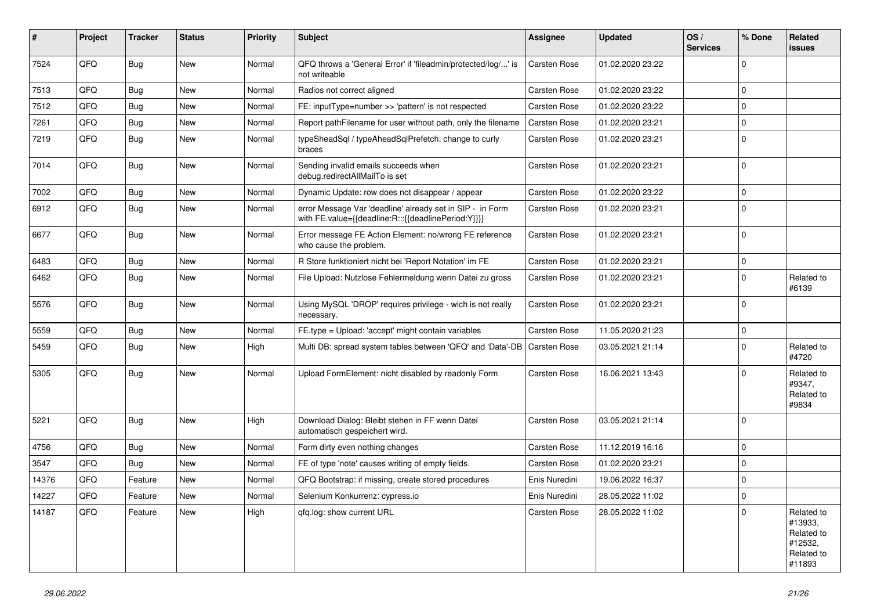| #     | Project | <b>Tracker</b> | <b>Status</b> | <b>Priority</b> | <b>Subject</b>                                                                                                   | <b>Assignee</b>     | <b>Updated</b>   | OS/<br><b>Services</b> | % Done      | Related<br>issues                                                      |
|-------|---------|----------------|---------------|-----------------|------------------------------------------------------------------------------------------------------------------|---------------------|------------------|------------------------|-------------|------------------------------------------------------------------------|
| 7524  | QFQ     | Bug            | New           | Normal          | QFQ throws a 'General Error' if 'fileadmin/protected/log/' is<br>not writeable                                   | <b>Carsten Rose</b> | 01.02.2020 23:22 |                        | $\Omega$    |                                                                        |
| 7513  | QFQ     | <b>Bug</b>     | New           | Normal          | Radios not correct aligned                                                                                       | <b>Carsten Rose</b> | 01.02.2020 23:22 |                        | $\mathbf 0$ |                                                                        |
| 7512  | QFQ     | <b>Bug</b>     | New           | Normal          | FE: inputType=number >> 'pattern' is not respected                                                               | <b>Carsten Rose</b> | 01.02.2020 23:22 |                        | $\Omega$    |                                                                        |
| 7261  | QFQ     | <b>Bug</b>     | New           | Normal          | Report pathFilename for user without path, only the filename                                                     | <b>Carsten Rose</b> | 01.02.2020 23:21 |                        | $\mathbf 0$ |                                                                        |
| 7219  | QFQ     | <b>Bug</b>     | New           | Normal          | typeSheadSql / typeAheadSqlPrefetch: change to curly<br>braces                                                   | Carsten Rose        | 01.02.2020 23:21 |                        | $\Omega$    |                                                                        |
| 7014  | QFQ     | Bug            | New           | Normal          | Sending invalid emails succeeds when<br>debug.redirectAllMailTo is set                                           | <b>Carsten Rose</b> | 01.02.2020 23:21 |                        | $\Omega$    |                                                                        |
| 7002  | QFQ     | Bug            | New           | Normal          | Dynamic Update: row does not disappear / appear                                                                  | <b>Carsten Rose</b> | 01.02.2020 23:22 |                        | $\Omega$    |                                                                        |
| 6912  | QFQ     | Bug            | New           | Normal          | error Message Var 'deadline' already set in SIP - in Form<br>with FE.value={{deadline:R:::{{deadlinePeriod:Y}}}} | Carsten Rose        | 01.02.2020 23:21 |                        | $\Omega$    |                                                                        |
| 6677  | QFQ     | <b>Bug</b>     | New           | Normal          | Error message FE Action Element: no/wrong FE reference<br>who cause the problem.                                 | <b>Carsten Rose</b> | 01.02.2020 23:21 |                        | $\Omega$    |                                                                        |
| 6483  | QFQ     | <b>Bug</b>     | <b>New</b>    | Normal          | R Store funktioniert nicht bei 'Report Notation' im FE                                                           | <b>Carsten Rose</b> | 01.02.2020 23:21 |                        | $\mathbf 0$ |                                                                        |
| 6462  | QFQ     | <b>Bug</b>     | New           | Normal          | File Upload: Nutzlose Fehlermeldung wenn Datei zu gross                                                          | Carsten Rose        | 01.02.2020 23:21 |                        | $\Omega$    | Related to<br>#6139                                                    |
| 5576  | QFQ     | <b>Bug</b>     | New           | Normal          | Using MySQL 'DROP' requires privilege - wich is not really<br>necessary.                                         | Carsten Rose        | 01.02.2020 23:21 |                        | l 0         |                                                                        |
| 5559  | QFQ     | <b>Bug</b>     | New           | Normal          | FE.type = Upload: 'accept' might contain variables                                                               | <b>Carsten Rose</b> | 11.05.2020 21:23 |                        | $\mathbf 0$ |                                                                        |
| 5459  | QFQ     | <b>Bug</b>     | New           | High            | Multi DB: spread system tables between 'QFQ' and 'Data'-DB                                                       | <b>Carsten Rose</b> | 03.05.2021 21:14 |                        | $\Omega$    | Related to<br>#4720                                                    |
| 5305  | QFQ     | <b>Bug</b>     | New           | Normal          | Upload FormElement: nicht disabled by readonly Form                                                              | <b>Carsten Rose</b> | 16.06.2021 13:43 |                        | $\Omega$    | Related to<br>#9347,<br>Related to<br>#9834                            |
| 5221  | QFQ     | <b>Bug</b>     | New           | High            | Download Dialog: Bleibt stehen in FF wenn Datei<br>automatisch gespeichert wird.                                 | Carsten Rose        | 03.05.2021 21:14 |                        | $\Omega$    |                                                                        |
| 4756  | QFQ     | Bug            | New           | Normal          | Form dirty even nothing changes                                                                                  | <b>Carsten Rose</b> | 11.12.2019 16:16 |                        | $\mathbf 0$ |                                                                        |
| 3547  | QFQ     | Bug            | New           | Normal          | FE of type 'note' causes writing of empty fields.                                                                | <b>Carsten Rose</b> | 01.02.2020 23:21 |                        | $\Omega$    |                                                                        |
| 14376 | QFQ     | Feature        | New           | Normal          | QFQ Bootstrap: if missing, create stored procedures                                                              | Enis Nuredini       | 19.06.2022 16:37 |                        | $\Omega$    |                                                                        |
| 14227 | QFQ     | Feature        | New           | Normal          | Selenium Konkurrenz: cypress.io                                                                                  | Enis Nuredini       | 28.05.2022 11:02 |                        | l 0         |                                                                        |
| 14187 | QFQ     | Feature        | New           | High            | qfq.log: show current URL                                                                                        | Carsten Rose        | 28.05.2022 11:02 |                        | $\Omega$    | Related to<br>#13933,<br>Related to<br>#12532,<br>Related to<br>#11893 |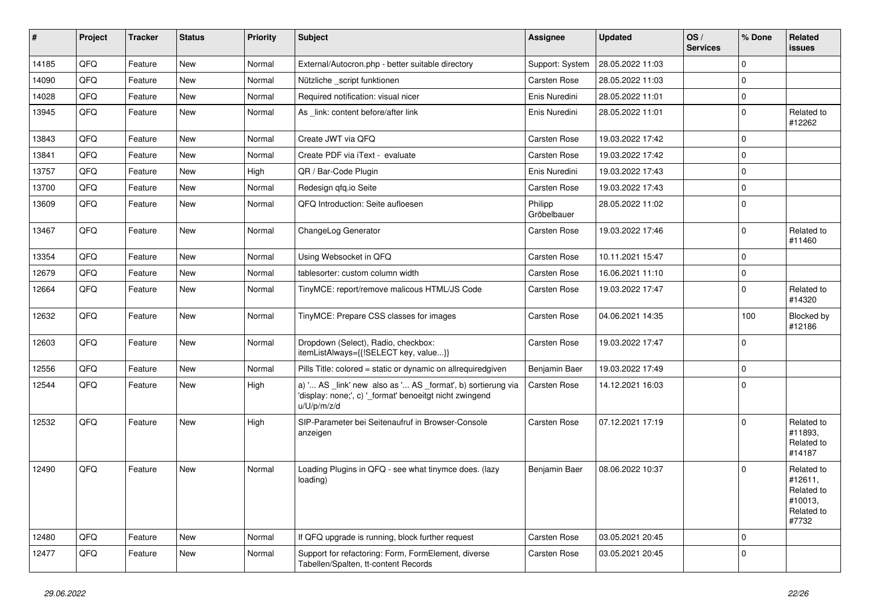| #     | Project | <b>Tracker</b> | <b>Status</b> | <b>Priority</b> | Subject                                                                                                                               | Assignee               | <b>Updated</b>   | OS/<br><b>Services</b> | % Done         | Related<br>issues                                                     |
|-------|---------|----------------|---------------|-----------------|---------------------------------------------------------------------------------------------------------------------------------------|------------------------|------------------|------------------------|----------------|-----------------------------------------------------------------------|
| 14185 | QFQ     | Feature        | New           | Normal          | External/Autocron.php - better suitable directory                                                                                     | Support: System        | 28.05.2022 11:03 |                        | $\Omega$       |                                                                       |
| 14090 | QFQ     | Feature        | New           | Normal          | Nützliche script funktionen                                                                                                           | <b>Carsten Rose</b>    | 28.05.2022 11:03 |                        | $\mathbf 0$    |                                                                       |
| 14028 | QFQ     | Feature        | New           | Normal          | Required notification: visual nicer                                                                                                   | Enis Nuredini          | 28.05.2022 11:01 |                        | $\Omega$       |                                                                       |
| 13945 | QFQ     | Feature        | New           | Normal          | As _link: content before/after link                                                                                                   | Enis Nuredini          | 28.05.2022 11:01 |                        | $\Omega$       | Related to<br>#12262                                                  |
| 13843 | QFQ     | Feature        | New           | Normal          | Create JWT via QFQ                                                                                                                    | <b>Carsten Rose</b>    | 19.03.2022 17:42 |                        | $\mathbf 0$    |                                                                       |
| 13841 | QFQ     | Feature        | New           | Normal          | Create PDF via iText - evaluate                                                                                                       | <b>Carsten Rose</b>    | 19.03.2022 17:42 |                        | $\mathbf 0$    |                                                                       |
| 13757 | QFQ     | Feature        | New           | High            | QR / Bar-Code Plugin                                                                                                                  | Enis Nuredini          | 19.03.2022 17:43 |                        | $\Omega$       |                                                                       |
| 13700 | QFQ     | Feature        | New           | Normal          | Redesign gfg.io Seite                                                                                                                 | <b>Carsten Rose</b>    | 19.03.2022 17:43 |                        | $\Omega$       |                                                                       |
| 13609 | QFQ     | Feature        | New           | Normal          | QFQ Introduction: Seite aufloesen                                                                                                     | Philipp<br>Gröbelbauer | 28.05.2022 11:02 |                        | 0              |                                                                       |
| 13467 | QFQ     | Feature        | New           | Normal          | ChangeLog Generator                                                                                                                   | <b>Carsten Rose</b>    | 19.03.2022 17:46 |                        | $\Omega$       | Related to<br>#11460                                                  |
| 13354 | QFQ     | Feature        | New           | Normal          | Using Websocket in QFQ                                                                                                                | Carsten Rose           | 10.11.2021 15:47 |                        | $\mathbf 0$    |                                                                       |
| 12679 | QFQ     | Feature        | New           | Normal          | tablesorter: custom column width                                                                                                      | Carsten Rose           | 16.06.2021 11:10 |                        | $\mathbf 0$    |                                                                       |
| 12664 | QFQ     | Feature        | New           | Normal          | TinyMCE: report/remove malicous HTML/JS Code                                                                                          | Carsten Rose           | 19.03.2022 17:47 |                        | $\Omega$       | Related to<br>#14320                                                  |
| 12632 | QFQ     | Feature        | New           | Normal          | TinyMCE: Prepare CSS classes for images                                                                                               | Carsten Rose           | 04.06.2021 14:35 |                        | 100            | Blocked by<br>#12186                                                  |
| 12603 | QFQ     | Feature        | New           | Normal          | Dropdown (Select), Radio, checkbox:<br>itemListAlways={{!SELECT key, value}}                                                          | Carsten Rose           | 19.03.2022 17:47 |                        | l 0            |                                                                       |
| 12556 | QFQ     | Feature        | New           | Normal          | Pills Title: colored = static or dynamic on allrequiredgiven                                                                          | Benjamin Baer          | 19.03.2022 17:49 |                        | $\Omega$       |                                                                       |
| 12544 | QFQ     | Feature        | New           | High            | a) ' AS _link' new also as ' AS _format', b) sortierung via<br>'display: none;', c) '_format' benoeitgt nicht zwingend<br>u/U/p/m/z/d | <b>Carsten Rose</b>    | 14.12.2021 16:03 |                        | 0              |                                                                       |
| 12532 | QFQ     | Feature        | <b>New</b>    | High            | SIP-Parameter bei Seitenaufruf in Browser-Console<br>anzeigen                                                                         | Carsten Rose           | 07.12.2021 17:19 |                        | $\Omega$       | Related to<br>#11893,<br>Related to<br>#14187                         |
| 12490 | QFQ     | Feature        | New           | Normal          | Loading Plugins in QFQ - see what tinymce does. (lazy<br>loading)                                                                     | Benjamin Baer          | 08.06.2022 10:37 |                        | $\Omega$       | Related to<br>#12611,<br>Related to<br>#10013,<br>Related to<br>#7732 |
| 12480 | QFQ     | Feature        | New           | Normal          | If QFQ upgrade is running, block further request                                                                                      | Carsten Rose           | 03.05.2021 20:45 |                        | $\overline{0}$ |                                                                       |
| 12477 | QFQ     | Feature        | New           | Normal          | Support for refactoring: Form, FormElement, diverse<br>Tabellen/Spalten, tt-content Records                                           | Carsten Rose           | 03.05.2021 20:45 |                        | $\Omega$       |                                                                       |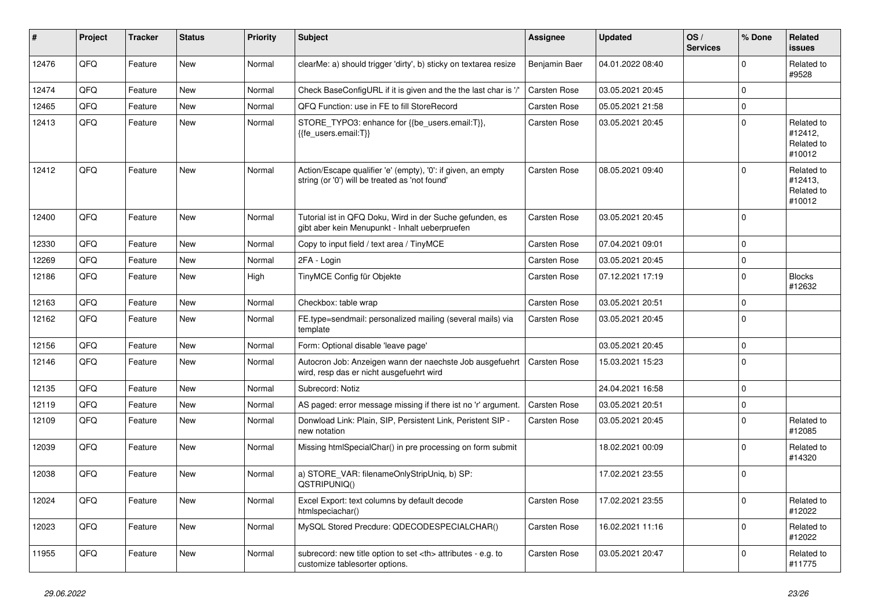| #     | Project | <b>Tracker</b> | <b>Status</b> | <b>Priority</b> | <b>Subject</b>                                                                                                 | Assignee                                               | <b>Updated</b>      | OS/<br><b>Services</b> | % Done      | Related<br><b>issues</b>                      |                      |
|-------|---------|----------------|---------------|-----------------|----------------------------------------------------------------------------------------------------------------|--------------------------------------------------------|---------------------|------------------------|-------------|-----------------------------------------------|----------------------|
| 12476 | QFQ     | Feature        | New           | Normal          | clearMe: a) should trigger 'dirty', b) sticky on textarea resize                                               | Benjamin Baer                                          | 04.01.2022 08:40    |                        | $\Omega$    | Related to<br>#9528                           |                      |
| 12474 | QFQ     | Feature        | <b>New</b>    | Normal          | Check BaseConfigURL if it is given and the the last char is '/'                                                | <b>Carsten Rose</b>                                    | 03.05.2021 20:45    |                        | $\mathbf 0$ |                                               |                      |
| 12465 | QFQ     | Feature        | <b>New</b>    | Normal          | QFQ Function: use in FE to fill StoreRecord                                                                    | Carsten Rose                                           | 05.05.2021 21:58    |                        | $\mathbf 0$ |                                               |                      |
| 12413 | QFQ     | Feature        | New           | Normal          | STORE TYPO3: enhance for {{be users.email:T}},<br>{{fe users.email:T}}                                         | Carsten Rose                                           | 03.05.2021 20:45    |                        | $\mathbf 0$ | Related to<br>#12412.<br>Related to<br>#10012 |                      |
| 12412 | QFQ     | Feature        | New           | Normal          | Action/Escape qualifier 'e' (empty), '0': if given, an empty<br>string (or '0') will be treated as 'not found' | <b>Carsten Rose</b>                                    | 08.05.2021 09:40    |                        | $\Omega$    | Related to<br>#12413,<br>Related to<br>#10012 |                      |
| 12400 | QFQ     | Feature        | New           | Normal          | Tutorial ist in QFQ Doku, Wird in der Suche gefunden, es<br>gibt aber kein Menupunkt - Inhalt ueberpruefen     | Carsten Rose                                           | 03.05.2021 20:45    |                        | $\Omega$    |                                               |                      |
| 12330 | QFQ     | Feature        | New           | Normal          | Copy to input field / text area / TinyMCE                                                                      | <b>Carsten Rose</b>                                    | 07.04.2021 09:01    |                        | $\Omega$    |                                               |                      |
| 12269 | QFQ     | Feature        | <b>New</b>    | Normal          | 2FA - Login                                                                                                    | Carsten Rose                                           | 03.05.2021 20:45    |                        | $\mathbf 0$ |                                               |                      |
| 12186 | QFQ     | Feature        | <b>New</b>    | High            | TinyMCE Config für Objekte                                                                                     | <b>Carsten Rose</b>                                    | 07.12.2021 17:19    |                        | $\Omega$    | <b>Blocks</b><br>#12632                       |                      |
| 12163 | QFQ     | Feature        | <b>New</b>    | Normal          | Checkbox: table wrap                                                                                           | Carsten Rose                                           | 03.05.2021 20:51    |                        | $\mathbf 0$ |                                               |                      |
| 12162 | QFQ     | Feature        | <b>New</b>    | Normal          | FE.type=sendmail: personalized mailing (several mails) via<br>template                                         | Carsten Rose                                           | 03.05.2021 20:45    |                        | $\mathbf 0$ |                                               |                      |
| 12156 | QFQ     | Feature        | <b>New</b>    | Normal          | Form: Optional disable 'leave page'                                                                            |                                                        | 03.05.2021 20:45    |                        | $\mathbf 0$ |                                               |                      |
| 12146 | QFQ     | Feature        | <b>New</b>    | Normal          | Autocron Job: Anzeigen wann der naechste Job ausgefuehrt<br>wird, resp das er nicht ausgefuehrt wird           | <b>Carsten Rose</b>                                    | 15.03.2021 15:23    |                        | $\mathbf 0$ |                                               |                      |
| 12135 | QFQ     | Feature        | <b>New</b>    | Normal          | Subrecord: Notiz                                                                                               |                                                        | 24.04.2021 16:58    |                        | $\Omega$    |                                               |                      |
| 12119 | QFQ     | Feature        | <b>New</b>    | Normal          | AS paged: error message missing if there ist no 'r' argument.                                                  | <b>Carsten Rose</b>                                    | 03.05.2021 20:51    |                        | $\Omega$    |                                               |                      |
| 12109 | QFQ     | Feature        | <b>New</b>    | Normal          | Donwload Link: Plain, SIP, Persistent Link, Peristent SIP -<br>new notation                                    | Carsten Rose                                           | 03.05.2021 20:45    |                        | $\Omega$    | Related to<br>#12085                          |                      |
| 12039 | QFQ     | Feature        | New           | Normal          | Missing htmlSpecialChar() in pre processing on form submit                                                     |                                                        | 18.02.2021 00:09    |                        | $\mathbf 0$ | Related to<br>#14320                          |                      |
| 12038 | QFQ     | Feature        | New           | Normal          | a) STORE_VAR: filenameOnlyStripUniq, b) SP:<br>QSTRIPUNIQ()                                                    |                                                        | 17.02.2021 23:55    |                        | $\mathbf 0$ |                                               |                      |
| 12024 | QFQ     | Feature        | <b>New</b>    | Normal          | Excel Export: text columns by default decode<br>htmlspeciachar()                                               | Carsten Rose                                           | 17.02.2021 23:55    |                        | $\Omega$    | Related to<br>#12022                          |                      |
| 12023 | QFQ     | Feature        | <b>New</b>    | Normal          | MySQL Stored Precdure: QDECODESPECIALCHAR()                                                                    | <b>Carsten Rose</b>                                    | 16.02.2021 11:16    |                        | $\Omega$    | Related to<br>#12022                          |                      |
| 11955 | QFQ     | Feature        | <b>New</b>    | Normal          | subrecord: new title option to set <th> attributes - e.g. to<br/>customize tablesorter options.</th>           | attributes - e.g. to<br>customize tablesorter options. | <b>Carsten Rose</b> | 03.05.2021 20:47       |             | $\Omega$                                      | Related to<br>#11775 |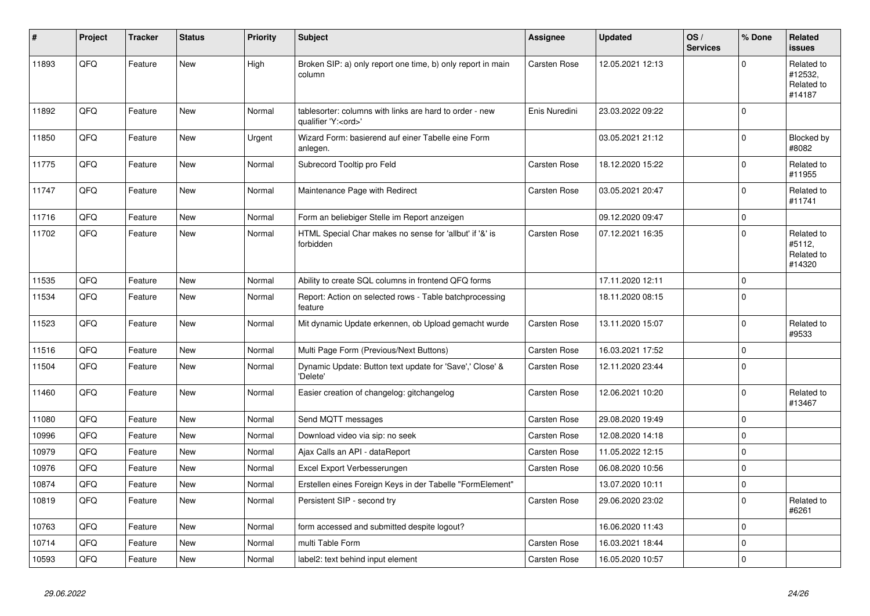| $\vert$ # | Project | <b>Tracker</b> | <b>Status</b> | <b>Priority</b> | <b>Subject</b>                                                                        | Assignee            | <b>Updated</b>   | OS/<br><b>Services</b> | % Done      | Related<br><b>issues</b>                      |
|-----------|---------|----------------|---------------|-----------------|---------------------------------------------------------------------------------------|---------------------|------------------|------------------------|-------------|-----------------------------------------------|
| 11893     | QFQ     | Feature        | <b>New</b>    | High            | Broken SIP: a) only report one time, b) only report in main<br>column                 | <b>Carsten Rose</b> | 12.05.2021 12:13 |                        | $\Omega$    | Related to<br>#12532,<br>Related to<br>#14187 |
| 11892     | QFQ     | Feature        | <b>New</b>    | Normal          | tablesorter: columns with links are hard to order - new<br>qualifier 'Y: <ord>'</ord> | Enis Nuredini       | 23.03.2022 09:22 |                        | $\Omega$    |                                               |
| 11850     | QFQ     | Feature        | <b>New</b>    | Urgent          | Wizard Form: basierend auf einer Tabelle eine Form<br>anlegen.                        |                     | 03.05.2021 21:12 |                        | $\Omega$    | Blocked by<br>#8082                           |
| 11775     | QFQ     | Feature        | <b>New</b>    | Normal          | Subrecord Tooltip pro Feld                                                            | Carsten Rose        | 18.12.2020 15:22 |                        | $\mathbf 0$ | Related to<br>#11955                          |
| 11747     | QFQ     | Feature        | <b>New</b>    | Normal          | Maintenance Page with Redirect                                                        | Carsten Rose        | 03.05.2021 20:47 |                        | $\Omega$    | Related to<br>#11741                          |
| 11716     | QFQ     | Feature        | <b>New</b>    | Normal          | Form an beliebiger Stelle im Report anzeigen                                          |                     | 09.12.2020 09:47 |                        | $\Omega$    |                                               |
| 11702     | QFQ     | Feature        | <b>New</b>    | Normal          | HTML Special Char makes no sense for 'allbut' if '&' is<br>forbidden                  | <b>Carsten Rose</b> | 07.12.2021 16:35 |                        | $\Omega$    | Related to<br>#5112,<br>Related to<br>#14320  |
| 11535     | QFQ     | Feature        | <b>New</b>    | Normal          | Ability to create SQL columns in frontend QFQ forms                                   |                     | 17.11.2020 12:11 |                        | $\Omega$    |                                               |
| 11534     | QFQ     | Feature        | <b>New</b>    | Normal          | Report: Action on selected rows - Table batchprocessing<br>feature                    |                     | 18.11.2020 08:15 |                        | $\Omega$    |                                               |
| 11523     | QFQ     | Feature        | <b>New</b>    | Normal          | Mit dynamic Update erkennen, ob Upload gemacht wurde                                  | Carsten Rose        | 13.11.2020 15:07 |                        | $\Omega$    | Related to<br>#9533                           |
| 11516     | QFQ     | Feature        | <b>New</b>    | Normal          | Multi Page Form (Previous/Next Buttons)                                               | Carsten Rose        | 16.03.2021 17:52 |                        | $\mathbf 0$ |                                               |
| 11504     | QFQ     | Feature        | <b>New</b>    | Normal          | Dynamic Update: Button text update for 'Save',' Close' &<br>'Delete'                  | Carsten Rose        | 12.11.2020 23:44 |                        | $\Omega$    |                                               |
| 11460     | QFQ     | Feature        | <b>New</b>    | Normal          | Easier creation of changelog: gitchangelog                                            | Carsten Rose        | 12.06.2021 10:20 |                        | $\mathbf 0$ | Related to<br>#13467                          |
| 11080     | QFQ     | Feature        | <b>New</b>    | Normal          | Send MQTT messages                                                                    | <b>Carsten Rose</b> | 29.08.2020 19:49 |                        | $\mathbf 0$ |                                               |
| 10996     | QFQ     | Feature        | <b>New</b>    | Normal          | Download video via sip: no seek                                                       | Carsten Rose        | 12.08.2020 14:18 |                        | $\Omega$    |                                               |
| 10979     | QFQ     | Feature        | <b>New</b>    | Normal          | Ajax Calls an API - dataReport                                                        | Carsten Rose        | 11.05.2022 12:15 |                        | $\mathbf 0$ |                                               |
| 10976     | QFQ     | Feature        | <b>New</b>    | Normal          | Excel Export Verbesserungen                                                           | Carsten Rose        | 06.08.2020 10:56 |                        | $\Omega$    |                                               |
| 10874     | QFQ     | Feature        | <b>New</b>    | Normal          | Erstellen eines Foreign Keys in der Tabelle "FormElement"                             |                     | 13.07.2020 10:11 |                        | $\mathbf 0$ |                                               |
| 10819     | QFQ     | Feature        | <b>New</b>    | Normal          | Persistent SIP - second try                                                           | Carsten Rose        | 29.06.2020 23:02 |                        | $\mathbf 0$ | Related to<br>#6261                           |
| 10763     | QFQ     | Feature        | <b>New</b>    | Normal          | form accessed and submitted despite logout?                                           |                     | 16.06.2020 11:43 |                        | $\Omega$    |                                               |
| 10714     | QFQ     | Feature        | <b>New</b>    | Normal          | multi Table Form                                                                      | Carsten Rose        | 16.03.2021 18:44 |                        | $\mathbf 0$ |                                               |
| 10593     | QFQ     | Feature        | <b>New</b>    | Normal          | label2: text behind input element                                                     | <b>Carsten Rose</b> | 16.05.2020 10:57 |                        | $\mathbf 0$ |                                               |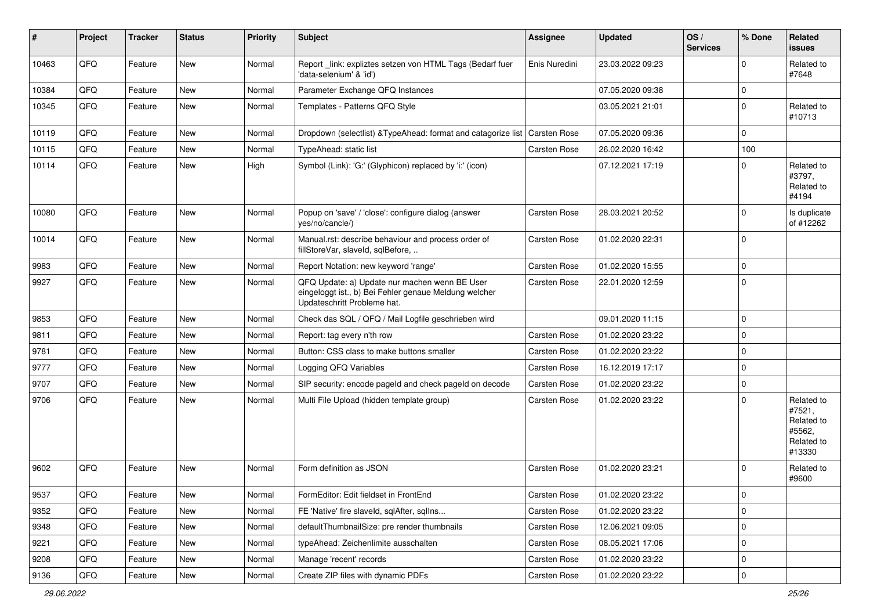| #     | Project | <b>Tracker</b> | <b>Status</b> | <b>Priority</b> | <b>Subject</b>                                                                                                                        | Assignee            | <b>Updated</b>   | OS/<br><b>Services</b> | % Done       | Related<br><b>issues</b>                                             |
|-------|---------|----------------|---------------|-----------------|---------------------------------------------------------------------------------------------------------------------------------------|---------------------|------------------|------------------------|--------------|----------------------------------------------------------------------|
| 10463 | QFQ     | Feature        | <b>New</b>    | Normal          | Report link: expliztes setzen von HTML Tags (Bedarf fuer<br>'data-selenium' & 'id')                                                   | Enis Nuredini       | 23.03.2022 09:23 |                        | <sup>0</sup> | Related to<br>#7648                                                  |
| 10384 | QFQ     | Feature        | <b>New</b>    | Normal          | Parameter Exchange QFQ Instances                                                                                                      |                     | 07.05.2020 09:38 |                        | $\Omega$     |                                                                      |
| 10345 | QFQ     | Feature        | New           | Normal          | Templates - Patterns QFQ Style                                                                                                        |                     | 03.05.2021 21:01 |                        | $\Omega$     | Related to<br>#10713                                                 |
| 10119 | QFQ     | Feature        | <b>New</b>    | Normal          | Dropdown (selectlist) & TypeAhead: format and catagorize list                                                                         | Carsten Rose        | 07.05.2020 09:36 |                        | $\Omega$     |                                                                      |
| 10115 | QFQ     | Feature        | New           | Normal          | TypeAhead: static list                                                                                                                | Carsten Rose        | 26.02.2020 16:42 |                        | 100          |                                                                      |
| 10114 | QFQ     | Feature        | New           | High            | Symbol (Link): 'G:' (Glyphicon) replaced by 'i:' (icon)                                                                               |                     | 07.12.2021 17:19 |                        | 0            | Related to<br>#3797,<br>Related to<br>#4194                          |
| 10080 | QFQ     | Feature        | <b>New</b>    | Normal          | Popup on 'save' / 'close': configure dialog (answer<br>yes/no/cancle/)                                                                | Carsten Rose        | 28.03.2021 20:52 |                        | 0            | Is duplicate<br>of #12262                                            |
| 10014 | QFQ     | Feature        | <b>New</b>    | Normal          | Manual.rst: describe behaviour and process order of<br>fillStoreVar, slaveId, sqlBefore,                                              | Carsten Rose        | 01.02.2020 22:31 |                        | $\mathbf 0$  |                                                                      |
| 9983  | QFQ     | Feature        | <b>New</b>    | Normal          | Report Notation: new keyword 'range'                                                                                                  | Carsten Rose        | 01.02.2020 15:55 |                        | 0            |                                                                      |
| 9927  | QFQ     | Feature        | <b>New</b>    | Normal          | QFQ Update: a) Update nur machen wenn BE User<br>eingeloggt ist., b) Bei Fehler genaue Meldung welcher<br>Updateschritt Probleme hat. | <b>Carsten Rose</b> | 22.01.2020 12:59 |                        | $\Omega$     |                                                                      |
| 9853  | QFQ     | Feature        | <b>New</b>    | Normal          | Check das SQL / QFQ / Mail Logfile geschrieben wird                                                                                   |                     | 09.01.2020 11:15 |                        | $\Omega$     |                                                                      |
| 9811  | QFQ     | Feature        | New           | Normal          | Report: tag every n'th row                                                                                                            | Carsten Rose        | 01.02.2020 23:22 |                        | $\mathbf 0$  |                                                                      |
| 9781  | QFQ     | Feature        | <b>New</b>    | Normal          | Button: CSS class to make buttons smaller                                                                                             | Carsten Rose        | 01.02.2020 23:22 |                        | 0            |                                                                      |
| 9777  | QFQ     | Feature        | <b>New</b>    | Normal          | Logging QFQ Variables                                                                                                                 | Carsten Rose        | 16.12.2019 17:17 |                        | 0            |                                                                      |
| 9707  | QFQ     | Feature        | <b>New</b>    | Normal          | SIP security: encode pageld and check pageld on decode                                                                                | <b>Carsten Rose</b> | 01.02.2020 23:22 |                        | 0            |                                                                      |
| 9706  | QFQ     | Feature        | New           | Normal          | Multi File Upload (hidden template group)                                                                                             | <b>Carsten Rose</b> | 01.02.2020 23:22 |                        | $\Omega$     | Related to<br>#7521,<br>Related to<br>#5562,<br>Related to<br>#13330 |
| 9602  | QFQ     | Feature        | <b>New</b>    | Normal          | Form definition as JSON                                                                                                               | <b>Carsten Rose</b> | 01.02.2020 23:21 |                        | $\Omega$     | Related to<br>#9600                                                  |
| 9537  | QFQ     | Feature        | New           | Normal          | FormEditor: Edit fieldset in FrontEnd                                                                                                 | Carsten Rose        | 01.02.2020 23:22 |                        | $\mathbf{0}$ |                                                                      |
| 9352  | QFQ     | Feature        | New           | Normal          | FE 'Native' fire slaveld, sqlAfter, sqlIns                                                                                            | Carsten Rose        | 01.02.2020 23:22 |                        | $\mathbf 0$  |                                                                      |
| 9348  | QFQ     | Feature        | New           | Normal          | defaultThumbnailSize: pre render thumbnails                                                                                           | Carsten Rose        | 12.06.2021 09:05 |                        | 0            |                                                                      |
| 9221  | QFQ     | Feature        | New           | Normal          | typeAhead: Zeichenlimite ausschalten                                                                                                  | Carsten Rose        | 08.05.2021 17:06 |                        | $\mathbf 0$  |                                                                      |
| 9208  | QFQ     | Feature        | New           | Normal          | Manage 'recent' records                                                                                                               | Carsten Rose        | 01.02.2020 23:22 |                        | 0            |                                                                      |
| 9136  | QFQ     | Feature        | New           | Normal          | Create ZIP files with dynamic PDFs                                                                                                    | Carsten Rose        | 01.02.2020 23:22 |                        | 0            |                                                                      |